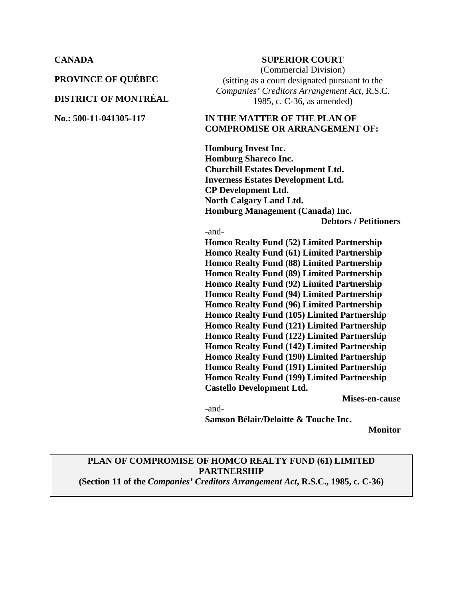**PROVINCE OF QUÉBEC**

#### **DISTRICT OF MONTRÉAL**

#### **CANADA SUPERIOR COURT**

(Commercial Division) (sitting as a court designated pursuant to the *Companies' Creditors Arrangement Act*, R.S.C. 1985, c. C-36, as amended)

## **No.: 500-11-041305-117 IN THE MATTER OF THE PLAN OF COMPROMISE OR ARRANGEMENT OF:**

**Homburg Invest Inc. Homburg Shareco Inc. Churchill Estates Development Ltd. Inverness Estates Development Ltd. CP Development Ltd. North Calgary Land Ltd. Homburg Management (Canada) Inc. Debtors / Petitioners**

#### -and-

**Homco Realty Fund (52) Limited Partnership Homco Realty Fund (61) Limited Partnership Homco Realty Fund (88) Limited Partnership Homco Realty Fund (89) Limited Partnership Homco Realty Fund (92) Limited Partnership Homco Realty Fund (94) Limited Partnership Homco Realty Fund (96) Limited Partnership Homco Realty Fund (105) Limited Partnership Homco Realty Fund (121) Limited Partnership Homco Realty Fund (122) Limited Partnership Homco Realty Fund (142) Limited Partnership Homco Realty Fund (190) Limited Partnership Homco Realty Fund (191) Limited Partnership Homco Realty Fund (199) Limited Partnership Castello Development Ltd.**

**Mises-en-cause**

-and-

**Samson Bélair/Deloitte & Touche Inc.** 

**Monitor**

# **PLAN OF COMPROMISE OF HOMCO REALTY FUND (61) LIMITED PARTNERSHIP**

**(Section 11 of the** *Companies' Creditors Arrangement Act***, R.S.C., 1985, c. C-36)**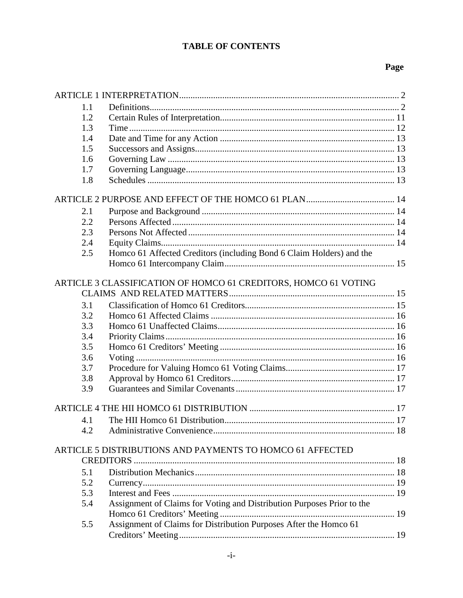# **TABLE OF CONTENTS**

# Page

| 1.1 |                                                                        |  |
|-----|------------------------------------------------------------------------|--|
| 1.2 |                                                                        |  |
| 1.3 |                                                                        |  |
| 1.4 |                                                                        |  |
| 1.5 |                                                                        |  |
| 1.6 |                                                                        |  |
| 1.7 |                                                                        |  |
| 1.8 |                                                                        |  |
|     |                                                                        |  |
| 2.1 |                                                                        |  |
| 2.2 |                                                                        |  |
| 2.3 |                                                                        |  |
| 2.4 |                                                                        |  |
| 2.5 | Homco 61 Affected Creditors (including Bond 6 Claim Holders) and the   |  |
|     |                                                                        |  |
|     | ARTICLE 3 CLASSIFICATION OF HOMCO 61 CREDITORS, HOMCO 61 VOTING        |  |
|     |                                                                        |  |
| 3.1 |                                                                        |  |
| 3.2 |                                                                        |  |
| 3.3 |                                                                        |  |
| 3.4 |                                                                        |  |
| 3.5 |                                                                        |  |
| 3.6 |                                                                        |  |
| 3.7 |                                                                        |  |
| 3.8 |                                                                        |  |
| 3.9 |                                                                        |  |
|     |                                                                        |  |
| 4.1 |                                                                        |  |
| 4.2 |                                                                        |  |
|     | ARTICLE 5 DISTRIBUTIONS AND PAYMENTS TO HOMCO 61 AFFECTED              |  |
|     |                                                                        |  |
| 5.1 |                                                                        |  |
| 5.2 |                                                                        |  |
| 5.3 |                                                                        |  |
| 5.4 | Assignment of Claims for Voting and Distribution Purposes Prior to the |  |
|     |                                                                        |  |
| 5.5 | Assignment of Claims for Distribution Purposes After the Homco 61      |  |
|     |                                                                        |  |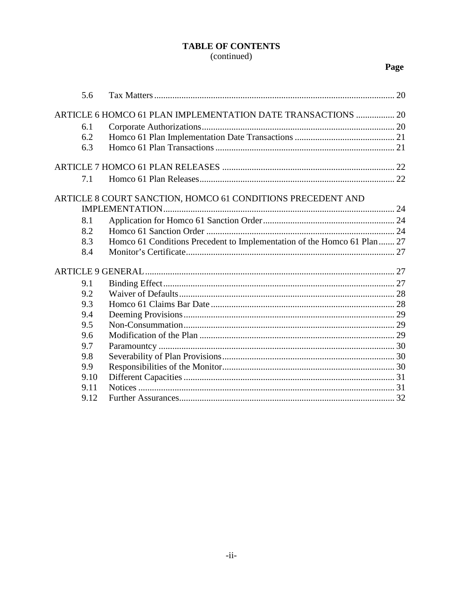# **TABLE OF CONTENTS** (continued)

# Page

| 5.6                                                          |                                                                          |  |  |
|--------------------------------------------------------------|--------------------------------------------------------------------------|--|--|
| ARTICLE 6 HOMCO 61 PLAN IMPLEMENTATION DATE TRANSACTIONS  20 |                                                                          |  |  |
| 6.1                                                          |                                                                          |  |  |
| 6.2                                                          |                                                                          |  |  |
| 6.3                                                          |                                                                          |  |  |
|                                                              |                                                                          |  |  |
| 7.1                                                          |                                                                          |  |  |
|                                                              | ARTICLE 8 COURT SANCTION, HOMCO 61 CONDITIONS PRECEDENT AND              |  |  |
|                                                              |                                                                          |  |  |
| 8.1                                                          |                                                                          |  |  |
| 8.2                                                          |                                                                          |  |  |
| 8.3                                                          | Homco 61 Conditions Precedent to Implementation of the Homco 61 Plan  27 |  |  |
| 8.4                                                          |                                                                          |  |  |
|                                                              |                                                                          |  |  |
| 9.1                                                          |                                                                          |  |  |
| 9.2                                                          |                                                                          |  |  |
| 9.3                                                          |                                                                          |  |  |
| 9.4                                                          |                                                                          |  |  |
| 9.5                                                          |                                                                          |  |  |
| 9.6                                                          |                                                                          |  |  |
| 9.7                                                          |                                                                          |  |  |
| 9.8                                                          |                                                                          |  |  |
| 9.9                                                          |                                                                          |  |  |
| 9.10                                                         |                                                                          |  |  |
| 9.11                                                         |                                                                          |  |  |
| 9.12                                                         |                                                                          |  |  |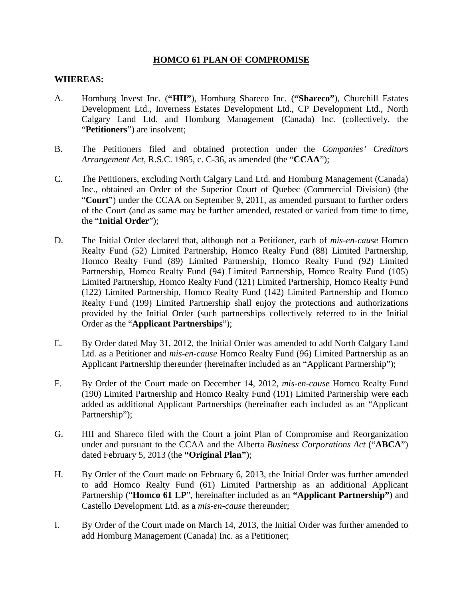# **HOMCO 61 PLAN OF COMPROMISE**

## **WHEREAS:**

- A. Homburg Invest Inc. (**"HII"**), Homburg Shareco Inc. (**"Shareco"**), Churchill Estates Development Ltd., Inverness Estates Development Ltd., CP Development Ltd., North Calgary Land Ltd. and Homburg Management (Canada) Inc. (collectively, the "**Petitioners**") are insolvent;
- B. The Petitioners filed and obtained protection under the *Companies' Creditors Arrangement Act*, R.S.C. 1985, c. C-36, as amended (the "**CCAA**");
- C. The Petitioners, excluding North Calgary Land Ltd. and Homburg Management (Canada) Inc., obtained an Order of the Superior Court of Quebec (Commercial Division) (the "**Court**") under the CCAA on September 9, 2011, as amended pursuant to further orders of the Court (and as same may be further amended, restated or varied from time to time, the "**Initial Order**");
- D. The Initial Order declared that, although not a Petitioner, each of *mis-en-cause* Homco Realty Fund (52) Limited Partnership, Homco Realty Fund (88) Limited Partnership, Homco Realty Fund (89) Limited Partnership, Homco Realty Fund (92) Limited Partnership, Homco Realty Fund (94) Limited Partnership, Homco Realty Fund (105) Limited Partnership, Homco Realty Fund (121) Limited Partnership, Homco Realty Fund (122) Limited Partnership, Homco Realty Fund (142) Limited Partnership and Homco Realty Fund (199) Limited Partnership shall enjoy the protections and authorizations provided by the Initial Order (such partnerships collectively referred to in the Initial Order as the "**Applicant Partnerships**");
- E. By Order dated May 31, 2012, the Initial Order was amended to add North Calgary Land Ltd. as a Petitioner and *mis-en-cause* Homco Realty Fund (96) Limited Partnership as an Applicant Partnership thereunder (hereinafter included as an "Applicant Partnership");
- F. By Order of the Court made on December 14, 2012, *mis-en-cause* Homco Realty Fund (190) Limited Partnership and Homco Realty Fund (191) Limited Partnership were each added as additional Applicant Partnerships (hereinafter each included as an "Applicant Partnership");
- G. HII and Shareco filed with the Court a joint Plan of Compromise and Reorganization under and pursuant to the CCAA and the Alberta *Business Corporations Act* ("**ABCA**") dated February 5, 2013 (the **"Original Plan"**);
- H. By Order of the Court made on February 6, 2013, the Initial Order was further amended to add Homco Realty Fund (61) Limited Partnership as an additional Applicant Partnership ("**Homco 61 LP**", hereinafter included as an **"Applicant Partnership"**) and Castello Development Ltd. as a *mis-en-cause* thereunder;
- I. By Order of the Court made on March 14, 2013, the Initial Order was further amended to add Homburg Management (Canada) Inc. as a Petitioner;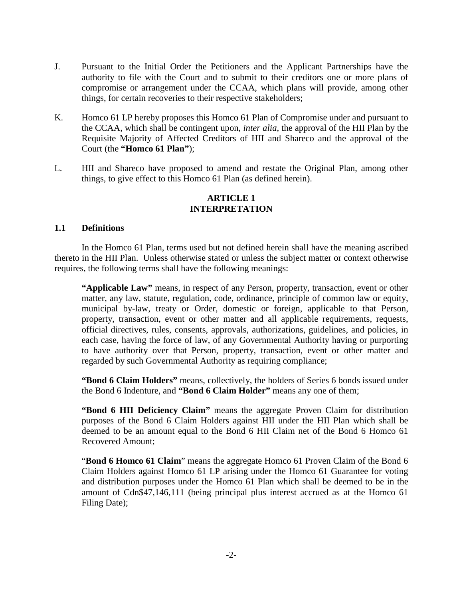- J. Pursuant to the Initial Order the Petitioners and the Applicant Partnerships have the authority to file with the Court and to submit to their creditors one or more plans of compromise or arrangement under the CCAA, which plans will provide, among other things, for certain recoveries to their respective stakeholders;
- K. Homco 61 LP hereby proposes this Homco 61 Plan of Compromise under and pursuant to the CCAA, which shall be contingent upon, *inter alia*, the approval of the HII Plan by the Requisite Majority of Affected Creditors of HII and Shareco and the approval of the Court (the **"Homco 61 Plan"**);
- L. HII and Shareco have proposed to amend and restate the Original Plan, among other things, to give effect to this Homco 61 Plan (as defined herein).

## **ARTICLE 1 INTERPRETATION**

## <span id="page-4-1"></span><span id="page-4-0"></span>**1.1 Definitions**

In the Homco 61 Plan, terms used but not defined herein shall have the meaning ascribed thereto in the HII Plan. Unless otherwise stated or unless the subject matter or context otherwise requires, the following terms shall have the following meanings:

**"Applicable Law"** means, in respect of any Person, property, transaction, event or other matter, any law, statute, regulation, code, ordinance, principle of common law or equity, municipal by-law, treaty or Order, domestic or foreign, applicable to that Person, property, transaction, event or other matter and all applicable requirements, requests, official directives, rules, consents, approvals, authorizations, guidelines, and policies, in each case, having the force of law, of any Governmental Authority having or purporting to have authority over that Person, property, transaction, event or other matter and regarded by such Governmental Authority as requiring compliance;

**"Bond 6 Claim Holders"** means, collectively, the holders of Series 6 bonds issued under the Bond 6 Indenture, and **"Bond 6 Claim Holder"** means any one of them;

**"Bond 6 HII Deficiency Claim"** means the aggregate Proven Claim for distribution purposes of the Bond 6 Claim Holders against HII under the HII Plan which shall be deemed to be an amount equal to the Bond 6 HII Claim net of the Bond 6 Homco 61 Recovered Amount;

"**Bond 6 Homco 61 Claim**" means the aggregate Homco 61 Proven Claim of the Bond 6 Claim Holders against Homco 61 LP arising under the Homco 61 Guarantee for voting and distribution purposes under the Homco 61 Plan which shall be deemed to be in the amount of Cdn\$47,146,111 (being principal plus interest accrued as at the Homco 61 Filing Date);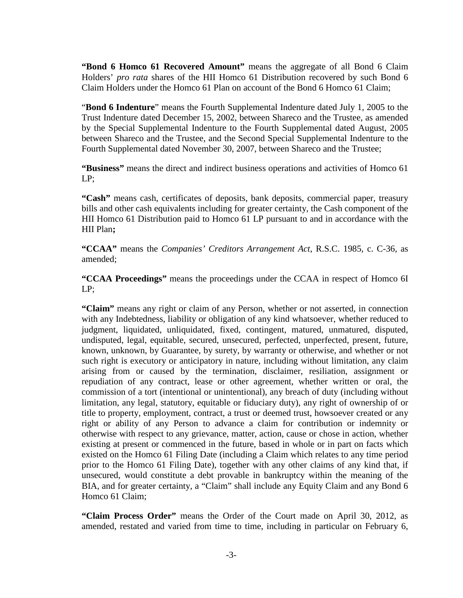**"Bond 6 Homco 61 Recovered Amount"** means the aggregate of all Bond 6 Claim Holders' *pro rata* shares of the HII Homco 61 Distribution recovered by such Bond 6 Claim Holders under the Homco 61 Plan on account of the Bond 6 Homco 61 Claim;

"**Bond 6 Indenture**" means the Fourth Supplemental Indenture dated July 1, 2005 to the Trust Indenture dated December 15, 2002, between Shareco and the Trustee, as amended by the Special Supplemental Indenture to the Fourth Supplemental dated August, 2005 between Shareco and the Trustee, and the Second Special Supplemental Indenture to the Fourth Supplemental dated November 30, 2007, between Shareco and the Trustee;

**"Business"** means the direct and indirect business operations and activities of Homco 61 LP;

**"Cash"** means cash, certificates of deposits, bank deposits, commercial paper, treasury bills and other cash equivalents including for greater certainty, the Cash component of the HII Homco 61 Distribution paid to Homco 61 LP pursuant to and in accordance with the HII Plan**;**

**"CCAA"** means the *Companies' Creditors Arrangement Act*, R.S.C. 1985, c. C-36, as amended;

**"CCAA Proceedings"** means the proceedings under the CCAA in respect of Homco 6I LP;

**"Claim"** means any right or claim of any Person, whether or not asserted, in connection with any Indebtedness, liability or obligation of any kind whatsoever, whether reduced to judgment, liquidated, unliquidated, fixed, contingent, matured, unmatured, disputed, undisputed, legal, equitable, secured, unsecured, perfected, unperfected, present, future, known, unknown, by Guarantee, by surety, by warranty or otherwise, and whether or not such right is executory or anticipatory in nature, including without limitation, any claim arising from or caused by the termination, disclaimer, resiliation, assignment or repudiation of any contract, lease or other agreement, whether written or oral, the commission of a tort (intentional or unintentional), any breach of duty (including without limitation, any legal, statutory, equitable or fiduciary duty), any right of ownership of or title to property, employment, contract, a trust or deemed trust, howsoever created or any right or ability of any Person to advance a claim for contribution or indemnity or otherwise with respect to any grievance, matter, action, cause or chose in action, whether existing at present or commenced in the future, based in whole or in part on facts which existed on the Homco 61 Filing Date (including a Claim which relates to any time period prior to the Homco 61 Filing Date), together with any other claims of any kind that, if unsecured, would constitute a debt provable in bankruptcy within the meaning of the BIA, and for greater certainty, a "Claim" shall include any Equity Claim and any Bond 6 Homco 61 Claim;

**"Claim Process Order"** means the Order of the Court made on April 30, 2012, as amended, restated and varied from time to time, including in particular on February 6,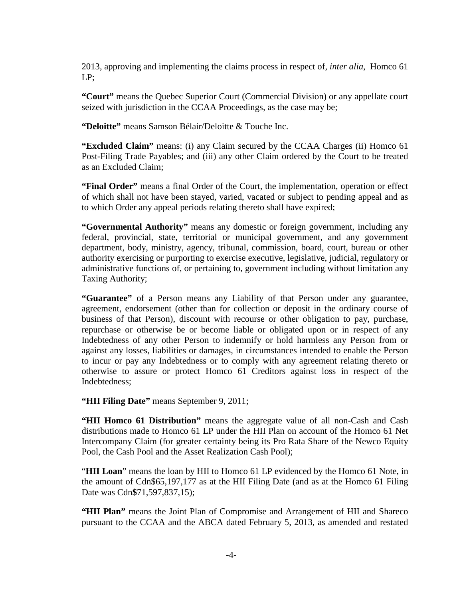2013, approving and implementing the claims process in respect of, *inter alia*, Homco 61 LP;

**"Court"** means the Quebec Superior Court (Commercial Division) or any appellate court seized with jurisdiction in the CCAA Proceedings, as the case may be;

**"Deloitte"** means Samson Bélair/Deloitte & Touche Inc.

**"Excluded Claim"** means: (i) any Claim secured by the CCAA Charges (ii) Homco 61 Post-Filing Trade Payables; and (iii) any other Claim ordered by the Court to be treated as an Excluded Claim;

**"Final Order"** means a final Order of the Court, the implementation, operation or effect of which shall not have been stayed, varied, vacated or subject to pending appeal and as to which Order any appeal periods relating thereto shall have expired;

**"Governmental Authority"** means any domestic or foreign government, including any federal, provincial, state, territorial or municipal government, and any government department, body, ministry, agency, tribunal, commission, board, court, bureau or other authority exercising or purporting to exercise executive, legislative, judicial, regulatory or administrative functions of, or pertaining to, government including without limitation any Taxing Authority;

**"Guarantee"** of a Person means any Liability of that Person under any guarantee, agreement, endorsement (other than for collection or deposit in the ordinary course of business of that Person), discount with recourse or other obligation to pay, purchase, repurchase or otherwise be or become liable or obligated upon or in respect of any Indebtedness of any other Person to indemnify or hold harmless any Person from or against any losses, liabilities or damages, in circumstances intended to enable the Person to incur or pay any Indebtedness or to comply with any agreement relating thereto or otherwise to assure or protect Homco 61 Creditors against loss in respect of the Indebtedness;

**"HII Filing Date"** means September 9, 2011;

**"HII Homco 61 Distribution"** means the aggregate value of all non-Cash and Cash distributions made to Homco 61 LP under the HII Plan on account of the Homco 61 Net Intercompany Claim (for greater certainty being its Pro Rata Share of the Newco Equity Pool, the Cash Pool and the Asset Realization Cash Pool);

"**HII Loan**" means the loan by HII to Homco 61 LP evidenced by the Homco 61 Note, in the amount of Cdn\$65,197,177 as at the HII Filing Date (and as at the Homco 61 Filing Date was Cdn**\$**71,597,837,15);

**"HII Plan"** means the Joint Plan of Compromise and Arrangement of HII and Shareco pursuant to the CCAA and the ABCA dated February 5, 2013, as amended and restated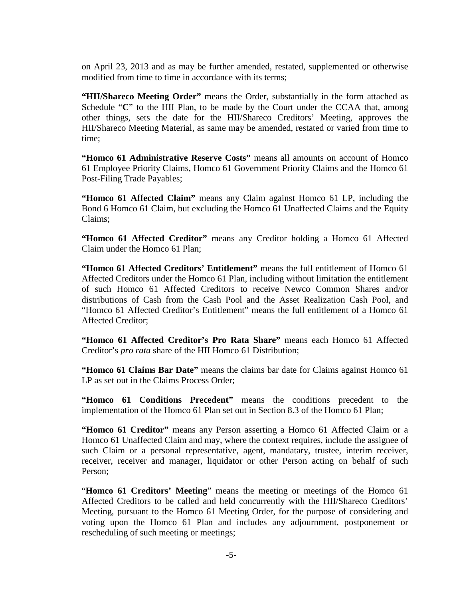on April 23, 2013 and as may be further amended, restated, supplemented or otherwise modified from time to time in accordance with its terms;

**"HII/Shareco Meeting Order"** means the Order, substantially in the form attached as Schedule "C" to the HII Plan, to be made by the Court under the CCAA that, among other things, sets the date for the HII/Shareco Creditors' Meeting, approves the HII/Shareco Meeting Material, as same may be amended, restated or varied from time to time;

**"Homco 61 Administrative Reserve Costs"** means all amounts on account of Homco 61 Employee Priority Claims, Homco 61 Government Priority Claims and the Homco 61 Post-Filing Trade Payables;

**"Homco 61 Affected Claim"** means any Claim against Homco 61 LP, including the Bond 6 Homco 61 Claim, but excluding the Homco 61 Unaffected Claims and the Equity Claims;

**"Homco 61 Affected Creditor"** means any Creditor holding a Homco 61 Affected Claim under the Homco 61 Plan;

**"Homco 61 Affected Creditors' Entitlement"** means the full entitlement of Homco 61 Affected Creditors under the Homco 61 Plan, including without limitation the entitlement of such Homco 61 Affected Creditors to receive Newco Common Shares and/or distributions of Cash from the Cash Pool and the Asset Realization Cash Pool, and "Homco 61 Affected Creditor's Entitlement" means the full entitlement of a Homco 61 Affected Creditor;

**"Homco 61 Affected Creditor's Pro Rata Share"** means each Homco 61 Affected Creditor's *pro rata* share of the HII Homco 61 Distribution;

**"Homco 61 Claims Bar Date"** means the claims bar date for Claims against Homco 61 LP as set out in the Claims Process Order;

**"Homco 61 Conditions Precedent"** means the conditions precedent to the implementation of the Homco 61 Plan set out in Section 8.3 of the Homco 61 Plan;

**"Homco 61 Creditor"** means any Person asserting a Homco 61 Affected Claim or a Homco 61 Unaffected Claim and may, where the context requires, include the assignee of such Claim or a personal representative, agent, mandatary, trustee, interim receiver, receiver, receiver and manager, liquidator or other Person acting on behalf of such Person;

"**Homco 61 Creditors' Meeting**" means the meeting or meetings of the Homco 61 Affected Creditors to be called and held concurrently with the HII/Shareco Creditors' Meeting, pursuant to the Homco 61 Meeting Order, for the purpose of considering and voting upon the Homco 61 Plan and includes any adjournment, postponement or rescheduling of such meeting or meetings;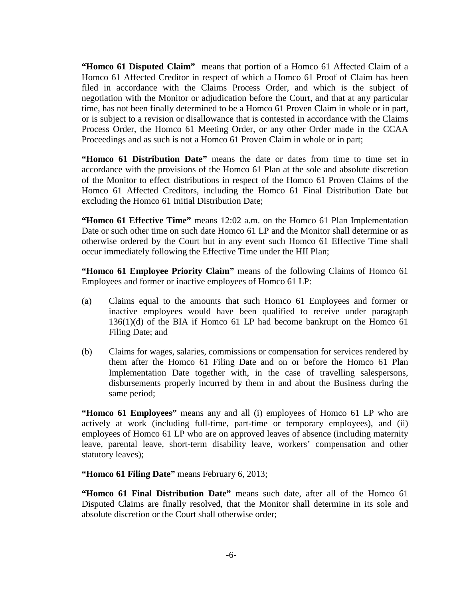**"Homco 61 Disputed Claim"** means that portion of a Homco 61 Affected Claim of a Homco 61 Affected Creditor in respect of which a Homco 61 Proof of Claim has been filed in accordance with the Claims Process Order, and which is the subject of negotiation with the Monitor or adjudication before the Court, and that at any particular time, has not been finally determined to be a Homco 61 Proven Claim in whole or in part, or is subject to a revision or disallowance that is contested in accordance with the Claims Process Order, the Homco 61 Meeting Order, or any other Order made in the CCAA Proceedings and as such is not a Homco 61 Proven Claim in whole or in part;

**"Homco 61 Distribution Date"** means the date or dates from time to time set in accordance with the provisions of the Homco 61 Plan at the sole and absolute discretion of the Monitor to effect distributions in respect of the Homco 61 Proven Claims of the Homco 61 Affected Creditors, including the Homco 61 Final Distribution Date but excluding the Homco 61 Initial Distribution Date;

**"Homco 61 Effective Time"** means 12:02 a.m. on the Homco 61 Plan Implementation Date or such other time on such date Homco 61 LP and the Monitor shall determine or as otherwise ordered by the Court but in any event such Homco 61 Effective Time shall occur immediately following the Effective Time under the HII Plan;

**"Homco 61 Employee Priority Claim"** means of the following Claims of Homco 61 Employees and former or inactive employees of Homco 61 LP:

- (a) Claims equal to the amounts that such Homco 61 Employees and former or inactive employees would have been qualified to receive under paragraph 136(1)(d) of the BIA if Homco 61 LP had become bankrupt on the Homco 61 Filing Date; and
- (b) Claims for wages, salaries, commissions or compensation for services rendered by them after the Homco 61 Filing Date and on or before the Homco 61 Plan Implementation Date together with, in the case of travelling salespersons, disbursements properly incurred by them in and about the Business during the same period;

**"Homco 61 Employees"** means any and all (i) employees of Homco 61 LP who are actively at work (including full-time, part-time or temporary employees), and (ii) employees of Homco 61 LP who are on approved leaves of absence (including maternity leave, parental leave, short-term disability leave, workers' compensation and other statutory leaves);

**"Homco 61 Filing Date"** means February 6, 2013;

**"Homco 61 Final Distribution Date"** means such date, after all of the Homco 61 Disputed Claims are finally resolved, that the Monitor shall determine in its sole and absolute discretion or the Court shall otherwise order;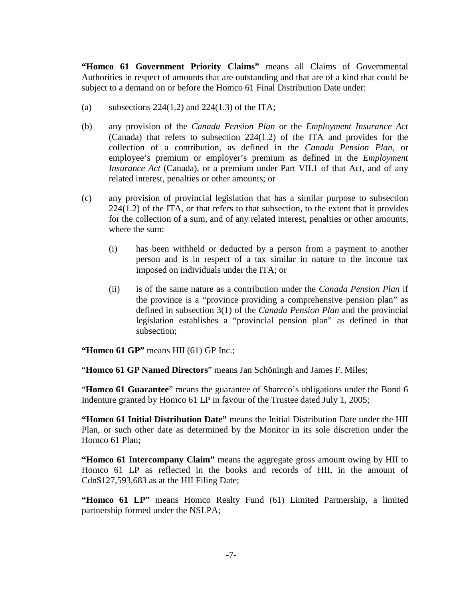**"Homco 61 Government Priority Claims"** means all Claims of Governmental Authorities in respect of amounts that are outstanding and that are of a kind that could be subject to a demand on or before the Homco 61 Final Distribution Date under:

- (a) subsections  $224(1.2)$  and  $224(1.3)$  of the ITA;
- (b) any provision of the *Canada Pension Plan* or the *Employment Insurance Act* (Canada) that refers to subsection 224(1.2) of the ITA and provides for the collection of a contribution, as defined in the *Canada Pension Plan*, or employee's premium or employer's premium as defined in the *Employment Insurance Act* (Canada), or a premium under Part VII.1 of that Act, and of any related interest, penalties or other amounts; or
- (c) any provision of provincial legislation that has a similar purpose to subsection 224(1.2) of the ITA, or that refers to that subsection, to the extent that it provides for the collection of a sum, and of any related interest, penalties or other amounts, where the sum:
	- (i) has been withheld or deducted by a person from a payment to another person and is in respect of a tax similar in nature to the income tax imposed on individuals under the ITA; or
	- (ii) is of the same nature as a contribution under the *Canada Pension Plan* if the province is a "province providing a comprehensive pension plan" as defined in subsection 3(1) of the *Canada Pension Plan* and the provincial legislation establishes a "provincial pension plan" as defined in that subsection;

**"Homco 61 GP"** means HII (61) GP Inc.;

"**Homco 61 GP Named Directors**" means Jan Schöningh and James F. Miles;

"**Homco 61 Guarantee**" means the guarantee of Shareco's obligations under the Bond 6 Indenture granted by Homco 61 LP in favour of the Trustee dated July 1, 2005;

**"Homco 61 Initial Distribution Date"** means the Initial Distribution Date under the HII Plan, or such other date as determined by the Monitor in its sole discretion under the Homco 61 Plan;

**"Homco 61 Intercompany Claim"** means the aggregate gross amount owing by HII to Homco 61 LP as reflected in the books and records of HII, in the amount of Cdn\$127,593,683 as at the HII Filing Date;

**"Homco 61 LP"** means Homco Realty Fund (61) Limited Partnership, a limited partnership formed under the NSLPA;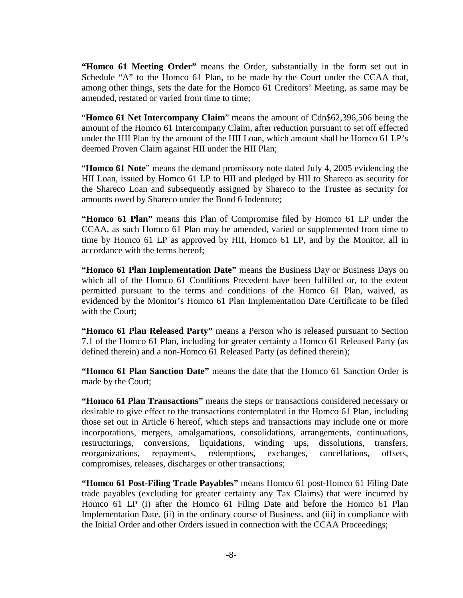**"Homco 61 Meeting Order"** means the Order, substantially in the form set out in Schedule "A" to the Homco 61 Plan, to be made by the Court under the CCAA that, among other things, sets the date for the Homco 61 Creditors' Meeting, as same may be amended, restated or varied from time to time;

"**Homco 61 Net Intercompany Claim**" means the amount of Cdn\$62,396,506 being the amount of the Homco 61 Intercompany Claim, after reduction pursuant to set off effected under the HII Plan by the amount of the HII Loan, which amount shall be Homco 61 LP's deemed Proven Claim against HII under the HII Plan;

"**Homco 61 Note**" means the demand promissory note dated July 4, 2005 evidencing the HII Loan, issued by Homco 61 LP to HII and pledged by HII to Shareco as security for the Shareco Loan and subsequently assigned by Shareco to the Trustee as security for amounts owed by Shareco under the Bond 6 Indenture;

**"Homco 61 Plan"** means this Plan of Compromise filed by Homco 61 LP under the CCAA, as such Homco 61 Plan may be amended, varied or supplemented from time to time by Homco 61 LP as approved by HII, Homco 61 LP, and by the Monitor, all in accordance with the terms hereof;

**"Homco 61 Plan Implementation Date"** means the Business Day or Business Days on which all of the Homco 61 Conditions Precedent have been fulfilled or, to the extent permitted pursuant to the terms and conditions of the Homco 61 Plan, waived, as evidenced by the Monitor's Homco 61 Plan Implementation Date Certificate to be filed with the Court;

**"Homco 61 Plan Released Party"** means a Person who is released pursuant to Section 7.1 of the Homco 61 Plan, including for greater certainty a Homco 61 Released Party (as defined therein) and a non-Homco 61 Released Party (as defined therein);

**"Homco 61 Plan Sanction Date"** means the date that the Homco 61 Sanction Order is made by the Court;

**"Homco 61 Plan Transactions"** means the steps or transactions considered necessary or desirable to give effect to the transactions contemplated in the Homco 61 Plan, including those set out in Article 6 hereof, which steps and transactions may include one or more incorporations, mergers, amalgamations, consolidations, arrangements, continuations, restructurings, conversions, liquidations, winding ups, dissolutions, transfers, reorganizations, repayments, redemptions, exchanges, cancellations, offsets, compromises, releases, discharges or other transactions;

**"Homco 61 Post-Filing Trade Payables"** means Homco 61 post-Homco 61 Filing Date trade payables (excluding for greater certainty any Tax Claims) that were incurred by Homco 61 LP (i) after the Homco 61 Filing Date and before the Homco 61 Plan Implementation Date, (ii) in the ordinary course of Business, and (iii) in compliance with the Initial Order and other Orders issued in connection with the CCAA Proceedings;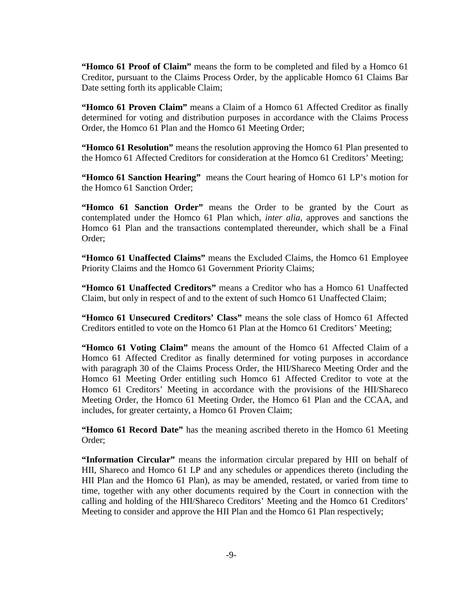**"Homco 61 Proof of Claim"** means the form to be completed and filed by a Homco 61 Creditor, pursuant to the Claims Process Order, by the applicable Homco 61 Claims Bar Date setting forth its applicable Claim;

**"Homco 61 Proven Claim"** means a Claim of a Homco 61 Affected Creditor as finally determined for voting and distribution purposes in accordance with the Claims Process Order, the Homco 61 Plan and the Homco 61 Meeting Order;

**"Homco 61 Resolution"** means the resolution approving the Homco 61 Plan presented to the Homco 61 Affected Creditors for consideration at the Homco 61 Creditors' Meeting;

**"Homco 61 Sanction Hearing"** means the Court hearing of Homco 61 LP's motion for the Homco 61 Sanction Order;

**"Homco 61 Sanction Order"** means the Order to be granted by the Court as contemplated under the Homco 61 Plan which, *inter alia*, approves and sanctions the Homco 61 Plan and the transactions contemplated thereunder, which shall be a Final Order;

**"Homco 61 Unaffected Claims"** means the Excluded Claims, the Homco 61 Employee Priority Claims and the Homco 61 Government Priority Claims;

**"Homco 61 Unaffected Creditors"** means a Creditor who has a Homco 61 Unaffected Claim, but only in respect of and to the extent of such Homco 61 Unaffected Claim;

**"Homco 61 Unsecured Creditors' Class"** means the sole class of Homco 61 Affected Creditors entitled to vote on the Homco 61 Plan at the Homco 61 Creditors' Meeting;

**"Homco 61 Voting Claim"** means the amount of the Homco 61 Affected Claim of a Homco 61 Affected Creditor as finally determined for voting purposes in accordance with paragraph 30 of the Claims Process Order, the HII/Shareco Meeting Order and the Homco 61 Meeting Order entitling such Homco 61 Affected Creditor to vote at the Homco 61 Creditors' Meeting in accordance with the provisions of the HII/Shareco Meeting Order, the Homco 61 Meeting Order, the Homco 61 Plan and the CCAA, and includes, for greater certainty, a Homco 61 Proven Claim;

**"Homco 61 Record Date"** has the meaning ascribed thereto in the Homco 61 Meeting Order;

**"Information Circular"** means the information circular prepared by HII on behalf of HII, Shareco and Homco 61 LP and any schedules or appendices thereto (including the HII Plan and the Homco 61 Plan), as may be amended, restated, or varied from time to time, together with any other documents required by the Court in connection with the calling and holding of the HII/Shareco Creditors' Meeting and the Homco 61 Creditors' Meeting to consider and approve the HII Plan and the Homco 61 Plan respectively;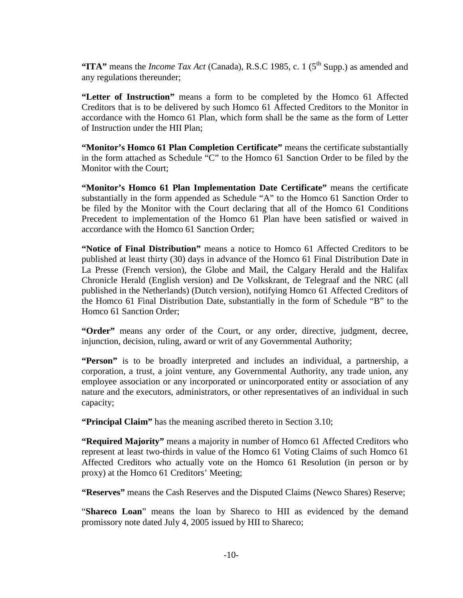**"ITA"** means the *Income Tax Act* (Canada), R.S.C 1985, c. 1 (5<sup>th</sup> Supp.) as amended and any regulations thereunder;

**"Letter of Instruction"** means a form to be completed by the Homco 61 Affected Creditors that is to be delivered by such Homco 61 Affected Creditors to the Monitor in accordance with the Homco 61 Plan, which form shall be the same as the form of Letter of Instruction under the HII Plan;

**"Monitor's Homco 61 Plan Completion Certificate"** means the certificate substantially in the form attached as Schedule "C" to the Homco 61 Sanction Order to be filed by the Monitor with the Court;

**"Monitor's Homco 61 Plan Implementation Date Certificate"** means the certificate substantially in the form appended as Schedule "A" to the Homco 61 Sanction Order to be filed by the Monitor with the Court declaring that all of the Homco 61 Conditions Precedent to implementation of the Homco 61 Plan have been satisfied or waived in accordance with the Homco 61 Sanction Order;

**"Notice of Final Distribution"** means a notice to Homco 61 Affected Creditors to be published at least thirty (30) days in advance of the Homco 61 Final Distribution Date in La Presse (French version), the Globe and Mail, the Calgary Herald and the Halifax Chronicle Herald (English version) and De Volkskrant, de Telegraaf and the NRC (all published in the Netherlands) (Dutch version), notifying Homco 61 Affected Creditors of the Homco 61 Final Distribution Date, substantially in the form of Schedule "B" to the Homco 61 Sanction Order;

"Order" means any order of the Court, or any order, directive, judgment, decree, injunction, decision, ruling, award or writ of any Governmental Authority;

**"Person"** is to be broadly interpreted and includes an individual, a partnership, a corporation, a trust, a joint venture, any Governmental Authority, any trade union, any employee association or any incorporated or unincorporated entity or association of any nature and the executors, administrators, or other representatives of an individual in such capacity;

**"Principal Claim"** has the meaning ascribed thereto in Section 3.10;

**"Required Majority"** means a majority in number of Homco 61 Affected Creditors who represent at least two-thirds in value of the Homco 61 Voting Claims of such Homco 61 Affected Creditors who actually vote on the Homco 61 Resolution (in person or by proxy) at the Homco 61 Creditors' Meeting;

**"Reserves"** means the Cash Reserves and the Disputed Claims (Newco Shares) Reserve;

"**Shareco Loan**" means the loan by Shareco to HII as evidenced by the demand promissory note dated July 4, 2005 issued by HII to Shareco;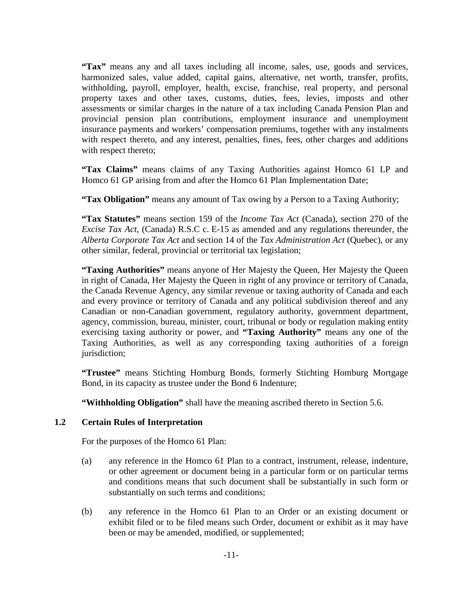**"Tax"** means any and all taxes including all income, sales, use, goods and services, harmonized sales, value added, capital gains, alternative, net worth, transfer, profits, withholding, payroll, employer, health, excise, franchise, real property, and personal property taxes and other taxes, customs, duties, fees, levies, imposts and other assessments or similar charges in the nature of a tax including Canada Pension Plan and provincial pension plan contributions, employment insurance and unemployment insurance payments and workers' compensation premiums, together with any instalments with respect thereto, and any interest, penalties, fines, fees, other charges and additions with respect thereto;

**"Tax Claims"** means claims of any Taxing Authorities against Homco 61 LP and Homco 61 GP arising from and after the Homco 61 Plan Implementation Date;

**"Tax Obligation"** means any amount of Tax owing by a Person to a Taxing Authority;

**"Tax Statutes"** means section 159 of the *Income Tax Act* (Canada), section 270 of the *Excise Tax Act*, (Canada) R.S.C c. E-15 as amended and any regulations thereunder, the *Alberta Corporate Tax Act* and section 14 of the *Tax Administration Act* (Quebec), or any other similar, federal, provincial or territorial tax legislation;

**"Taxing Authorities"** means anyone of Her Majesty the Queen, Her Majesty the Queen in right of Canada, Her Majesty the Queen in right of any province or territory of Canada, the Canada Revenue Agency, any similar revenue or taxing authority of Canada and each and every province or territory of Canada and any political subdivision thereof and any Canadian or non-Canadian government, regulatory authority, government department, agency, commission, bureau, minister, court, tribunal or body or regulation making entity exercising taxing authority or power, and **"Taxing Authority"** means any one of the Taxing Authorities, as well as any corresponding taxing authorities of a foreign jurisdiction;

**"Trustee"** means Stichting Homburg Bonds, formerly Stichting Homburg Mortgage Bond, in its capacity as trustee under the Bond 6 Indenture;

**"Withholding Obligation"** shall have the meaning ascribed thereto in Section 5.6.

### <span id="page-13-0"></span>**1.2 Certain Rules of Interpretation**

For the purposes of the Homco 61 Plan:

- (a) any reference in the Homco 61 Plan to a contract, instrument, release, indenture, or other agreement or document being in a particular form or on particular terms and conditions means that such document shall be substantially in such form or substantially on such terms and conditions;
- (b) any reference in the Homco 61 Plan to an Order or an existing document or exhibit filed or to be filed means such Order, document or exhibit as it may have been or may be amended, modified, or supplemented;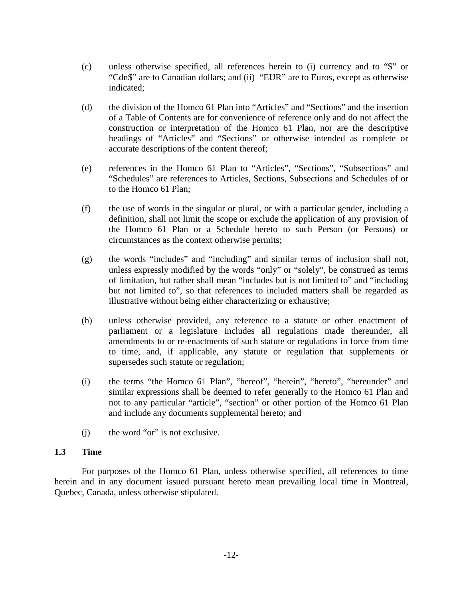- (c) unless otherwise specified, all references herein to (i) currency and to "\$" or "Cdn\$" are to Canadian dollars; and (ii) "EUR" are to Euros, except as otherwise indicated;
- (d) the division of the Homco 61 Plan into "Articles" and "Sections" and the insertion of a Table of Contents are for convenience of reference only and do not affect the construction or interpretation of the Homco 61 Plan, nor are the descriptive headings of "Articles" and "Sections" or otherwise intended as complete or accurate descriptions of the content thereof;
- (e) references in the Homco 61 Plan to "Articles", "Sections", "Subsections" and "Schedules" are references to Articles, Sections, Subsections and Schedules of or to the Homco 61 Plan;
- (f) the use of words in the singular or plural, or with a particular gender, including a definition, shall not limit the scope or exclude the application of any provision of the Homco 61 Plan or a Schedule hereto to such Person (or Persons) or circumstances as the context otherwise permits;
- (g) the words "includes" and "including" and similar terms of inclusion shall not, unless expressly modified by the words "only" or "solely", be construed as terms of limitation, but rather shall mean "includes but is not limited to" and "including but not limited to", so that references to included matters shall be regarded as illustrative without being either characterizing or exhaustive;
- (h) unless otherwise provided, any reference to a statute or other enactment of parliament or a legislature includes all regulations made thereunder, all amendments to or re-enactments of such statute or regulations in force from time to time, and, if applicable, any statute or regulation that supplements or supersedes such statute or regulation;
- (i) the terms "the Homco 61 Plan", "hereof", "herein", "hereto", "hereunder" and similar expressions shall be deemed to refer generally to the Homco 61 Plan and not to any particular "article", "section" or other portion of the Homco 61 Plan and include any documents supplemental hereto; and
- (j) the word "or" is not exclusive.

### <span id="page-14-0"></span>**1.3 Time**

For purposes of the Homco 61 Plan, unless otherwise specified, all references to time herein and in any document issued pursuant hereto mean prevailing local time in Montreal, Quebec, Canada, unless otherwise stipulated.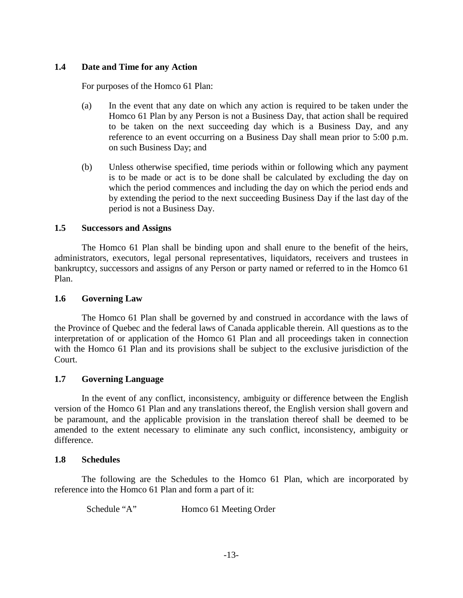## <span id="page-15-0"></span>**1.4 Date and Time for any Action**

For purposes of the Homco 61 Plan:

- (a) In the event that any date on which any action is required to be taken under the Homco 61 Plan by any Person is not a Business Day, that action shall be required to be taken on the next succeeding day which is a Business Day, and any reference to an event occurring on a Business Day shall mean prior to 5:00 p.m. on such Business Day; and
- (b) Unless otherwise specified, time periods within or following which any payment is to be made or act is to be done shall be calculated by excluding the day on which the period commences and including the day on which the period ends and by extending the period to the next succeeding Business Day if the last day of the period is not a Business Day.

## <span id="page-15-1"></span>**1.5 Successors and Assigns**

The Homco 61 Plan shall be binding upon and shall enure to the benefit of the heirs, administrators, executors, legal personal representatives, liquidators, receivers and trustees in bankruptcy, successors and assigns of any Person or party named or referred to in the Homco 61 Plan.

## <span id="page-15-2"></span>**1.6 Governing Law**

The Homco 61 Plan shall be governed by and construed in accordance with the laws of the Province of Quebec and the federal laws of Canada applicable therein. All questions as to the interpretation of or application of the Homco 61 Plan and all proceedings taken in connection with the Homco 61 Plan and its provisions shall be subject to the exclusive jurisdiction of the Court.

# <span id="page-15-3"></span>**1.7 Governing Language**

In the event of any conflict, inconsistency, ambiguity or difference between the English version of the Homco 61 Plan and any translations thereof, the English version shall govern and be paramount, and the applicable provision in the translation thereof shall be deemed to be amended to the extent necessary to eliminate any such conflict, inconsistency, ambiguity or difference.

### <span id="page-15-4"></span>**1.8 Schedules**

The following are the Schedules to the Homco 61 Plan, which are incorporated by reference into the Homco 61 Plan and form a part of it:

Schedule "A" Homco 61 Meeting Order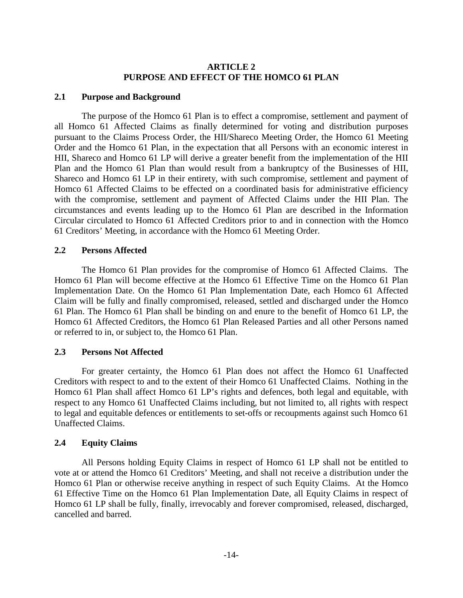## **ARTICLE 2 PURPOSE AND EFFECT OF THE HOMCO 61 PLAN**

#### <span id="page-16-1"></span><span id="page-16-0"></span>**2.1 Purpose and Background**

The purpose of the Homco 61 Plan is to effect a compromise, settlement and payment of all Homco 61 Affected Claims as finally determined for voting and distribution purposes pursuant to the Claims Process Order, the HII/Shareco Meeting Order, the Homco 61 Meeting Order and the Homco 61 Plan, in the expectation that all Persons with an economic interest in HII, Shareco and Homco 61 LP will derive a greater benefit from the implementation of the HII Plan and the Homco 61 Plan than would result from a bankruptcy of the Businesses of HII, Shareco and Homco 61 LP in their entirety, with such compromise, settlement and payment of Homco 61 Affected Claims to be effected on a coordinated basis for administrative efficiency with the compromise, settlement and payment of Affected Claims under the HII Plan. The circumstances and events leading up to the Homco 61 Plan are described in the Information Circular circulated to Homco 61 Affected Creditors prior to and in connection with the Homco 61 Creditors' Meeting, in accordance with the Homco 61 Meeting Order.

#### <span id="page-16-2"></span>**2.2 Persons Affected**

The Homco 61 Plan provides for the compromise of Homco 61 Affected Claims. The Homco 61 Plan will become effective at the Homco 61 Effective Time on the Homco 61 Plan Implementation Date. On the Homco 61 Plan Implementation Date, each Homco 61 Affected Claim will be fully and finally compromised, released, settled and discharged under the Homco 61 Plan. The Homco 61 Plan shall be binding on and enure to the benefit of Homco 61 LP, the Homco 61 Affected Creditors, the Homco 61 Plan Released Parties and all other Persons named or referred to in, or subject to, the Homco 61 Plan.

### <span id="page-16-3"></span>**2.3 Persons Not Affected**

For greater certainty, the Homco 61 Plan does not affect the Homco 61 Unaffected Creditors with respect to and to the extent of their Homco 61 Unaffected Claims. Nothing in the Homco 61 Plan shall affect Homco 61 LP's rights and defences, both legal and equitable, with respect to any Homco 61 Unaffected Claims including, but not limited to, all rights with respect to legal and equitable defences or entitlements to set-offs or recoupments against such Homco 61 Unaffected Claims.

### <span id="page-16-4"></span>**2.4 Equity Claims**

All Persons holding Equity Claims in respect of Homco 61 LP shall not be entitled to vote at or attend the Homco 61 Creditors' Meeting, and shall not receive a distribution under the Homco 61 Plan or otherwise receive anything in respect of such Equity Claims. At the Homco 61 Effective Time on the Homco 61 Plan Implementation Date, all Equity Claims in respect of Homco 61 LP shall be fully, finally, irrevocably and forever compromised, released, discharged, cancelled and barred.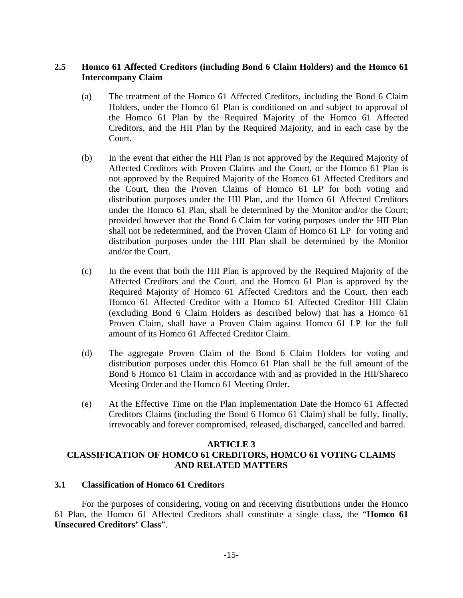## <span id="page-17-0"></span>**2.5 Homco 61 Affected Creditors (including Bond 6 Claim Holders) and the Homco 61 Intercompany Claim**

- (a) The treatment of the Homco 61 Affected Creditors, including the Bond 6 Claim Holders, under the Homco 61 Plan is conditioned on and subject to approval of the Homco 61 Plan by the Required Majority of the Homco 61 Affected Creditors, and the HII Plan by the Required Majority, and in each case by the Court.
- (b) In the event that either the HII Plan is not approved by the Required Majority of Affected Creditors with Proven Claims and the Court, or the Homco 61 Plan is not approved by the Required Majority of the Homco 61 Affected Creditors and the Court, then the Proven Claims of Homco 61 LP for both voting and distribution purposes under the HII Plan, and the Homco 61 Affected Creditors under the Homco 61 Plan, shall be determined by the Monitor and/or the Court; provided however that the Bond 6 Claim for voting purposes under the HII Plan shall not be redetermined, and the Proven Claim of Homco 61 LP for voting and distribution purposes under the HII Plan shall be determined by the Monitor and/or the Court.
- (c) In the event that both the HII Plan is approved by the Required Majority of the Affected Creditors and the Court, and the Homco 61 Plan is approved by the Required Majority of Homco 61 Affected Creditors and the Court, then each Homco 61 Affected Creditor with a Homco 61 Affected Creditor HII Claim (excluding Bond 6 Claim Holders as described below) that has a Homco 61 Proven Claim, shall have a Proven Claim against Homco 61 LP for the full amount of its Homco 61 Affected Creditor Claim.
- (d) The aggregate Proven Claim of the Bond 6 Claim Holders for voting and distribution purposes under this Homco 61 Plan shall be the full amount of the Bond 6 Homco 61 Claim in accordance with and as provided in the HII/Shareco Meeting Order and the Homco 61 Meeting Order.
- (e) At the Effective Time on the Plan Implementation Date the Homco 61 Affected Creditors Claims (including the Bond 6 Homco 61 Claim) shall be fully, finally, irrevocably and forever compromised, released, discharged, cancelled and barred.

### **ARTICLE 3**

# <span id="page-17-1"></span>**CLASSIFICATION OF HOMCO 61 CREDITORS, HOMCO 61 VOTING CLAIMS AND RELATED MATTERS**

### <span id="page-17-2"></span>**3.1 Classification of Homco 61 Creditors**

For the purposes of considering, voting on and receiving distributions under the Homco 61 Plan, the Homco 61 Affected Creditors shall constitute a single class, the "**Homco 61 Unsecured Creditors' Class**".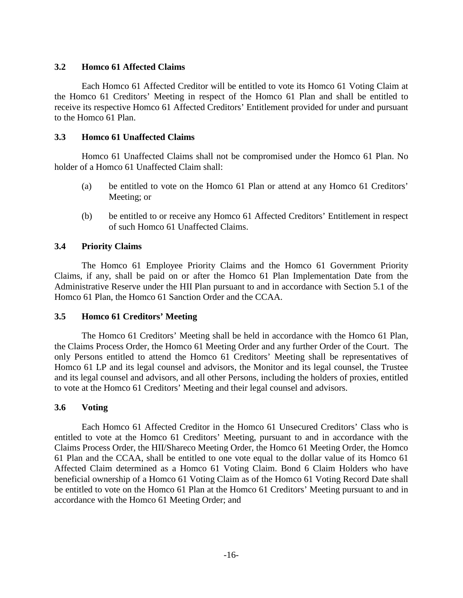## <span id="page-18-0"></span>**3.2 Homco 61 Affected Claims**

Each Homco 61 Affected Creditor will be entitled to vote its Homco 61 Voting Claim at the Homco 61 Creditors' Meeting in respect of the Homco 61 Plan and shall be entitled to receive its respective Homco 61 Affected Creditors' Entitlement provided for under and pursuant to the Homco 61 Plan.

## <span id="page-18-1"></span>**3.3 Homco 61 Unaffected Claims**

Homco 61 Unaffected Claims shall not be compromised under the Homco 61 Plan. No holder of a Homco 61 Unaffected Claim shall:

- (a) be entitled to vote on the Homco 61 Plan or attend at any Homco 61 Creditors' Meeting; or
- (b) be entitled to or receive any Homco 61 Affected Creditors' Entitlement in respect of such Homco 61 Unaffected Claims.

## <span id="page-18-2"></span>**3.4 Priority Claims**

The Homco 61 Employee Priority Claims and the Homco 61 Government Priority Claims, if any, shall be paid on or after the Homco 61 Plan Implementation Date from the Administrative Reserve under the HII Plan pursuant to and in accordance with Section 5.1 of the Homco 61 Plan, the Homco 61 Sanction Order and the CCAA.

### <span id="page-18-3"></span>**3.5 Homco 61 Creditors' Meeting**

The Homco 61 Creditors' Meeting shall be held in accordance with the Homco 61 Plan, the Claims Process Order, the Homco 61 Meeting Order and any further Order of the Court. The only Persons entitled to attend the Homco 61 Creditors' Meeting shall be representatives of Homco 61 LP and its legal counsel and advisors, the Monitor and its legal counsel, the Trustee and its legal counsel and advisors, and all other Persons, including the holders of proxies, entitled to vote at the Homco 61 Creditors' Meeting and their legal counsel and advisors.

### <span id="page-18-4"></span>**3.6 Voting**

Each Homco 61 Affected Creditor in the Homco 61 Unsecured Creditors' Class who is entitled to vote at the Homco 61 Creditors' Meeting, pursuant to and in accordance with the Claims Process Order, the HII/Shareco Meeting Order, the Homco 61 Meeting Order, the Homco 61 Plan and the CCAA, shall be entitled to one vote equal to the dollar value of its Homco 61 Affected Claim determined as a Homco 61 Voting Claim. Bond 6 Claim Holders who have beneficial ownership of a Homco 61 Voting Claim as of the Homco 61 Voting Record Date shall be entitled to vote on the Homco 61 Plan at the Homco 61 Creditors' Meeting pursuant to and in accordance with the Homco 61 Meeting Order; and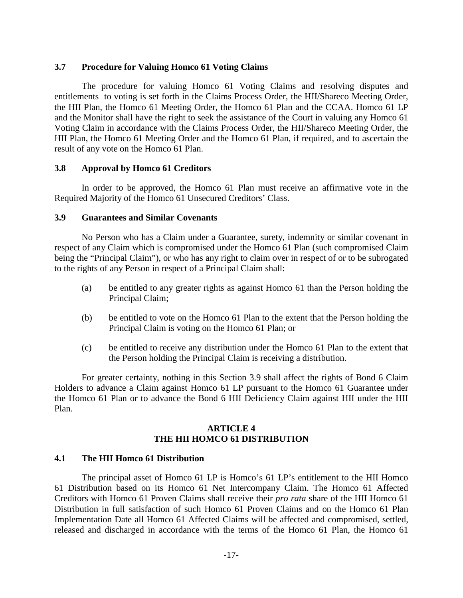#### <span id="page-19-0"></span>**3.7 Procedure for Valuing Homco 61 Voting Claims**

The procedure for valuing Homco 61 Voting Claims and resolving disputes and entitlements to voting is set forth in the Claims Process Order, the HII/Shareco Meeting Order, the HII Plan, the Homco 61 Meeting Order, the Homco 61 Plan and the CCAA. Homco 61 LP and the Monitor shall have the right to seek the assistance of the Court in valuing any Homco 61 Voting Claim in accordance with the Claims Process Order, the HII/Shareco Meeting Order, the HII Plan, the Homco 61 Meeting Order and the Homco 61 Plan, if required, and to ascertain the result of any vote on the Homco 61 Plan.

#### <span id="page-19-1"></span>**3.8 Approval by Homco 61 Creditors**

In order to be approved, the Homco 61 Plan must receive an affirmative vote in the Required Majority of the Homco 61 Unsecured Creditors' Class.

#### <span id="page-19-2"></span>**3.9 Guarantees and Similar Covenants**

No Person who has a Claim under a Guarantee, surety, indemnity or similar covenant in respect of any Claim which is compromised under the Homco 61 Plan (such compromised Claim being the "Principal Claim"), or who has any right to claim over in respect of or to be subrogated to the rights of any Person in respect of a Principal Claim shall:

- (a) be entitled to any greater rights as against Homco 61 than the Person holding the Principal Claim;
- (b) be entitled to vote on the Homco 61 Plan to the extent that the Person holding the Principal Claim is voting on the Homco 61 Plan; or
- (c) be entitled to receive any distribution under the Homco 61 Plan to the extent that the Person holding the Principal Claim is receiving a distribution.

For greater certainty, nothing in this Section 3.9 shall affect the rights of Bond 6 Claim Holders to advance a Claim against Homco 61 LP pursuant to the Homco 61 Guarantee under the Homco 61 Plan or to advance the Bond 6 HII Deficiency Claim against HII under the HII Plan.

### **ARTICLE 4 THE HII HOMCO 61 DISTRIBUTION**

### <span id="page-19-4"></span><span id="page-19-3"></span>**4.1 The HII Homco 61 Distribution**

The principal asset of Homco 61 LP is Homco's 61 LP's entitlement to the HII Homco 61 Distribution based on its Homco 61 Net Intercompany Claim. The Homco 61 Affected Creditors with Homco 61 Proven Claims shall receive their *pro rata* share of the HII Homco 61 Distribution in full satisfaction of such Homco 61 Proven Claims and on the Homco 61 Plan Implementation Date all Homco 61 Affected Claims will be affected and compromised, settled, released and discharged in accordance with the terms of the Homco 61 Plan, the Homco 61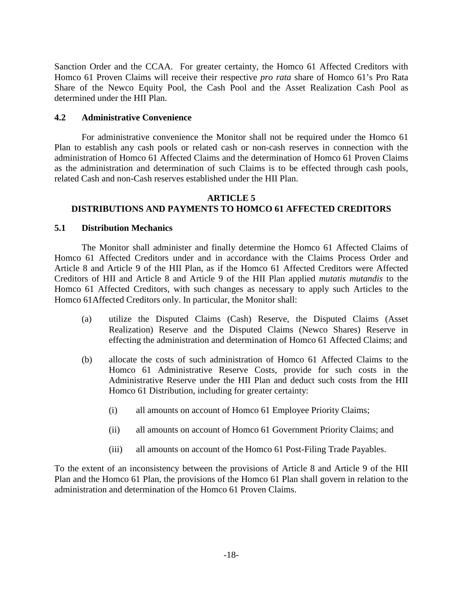Sanction Order and the CCAA. For greater certainty, the Homco 61 Affected Creditors with Homco 61 Proven Claims will receive their respective *pro rata* share of Homco 61's Pro Rata Share of the Newco Equity Pool, the Cash Pool and the Asset Realization Cash Pool as determined under the HII Plan.

## <span id="page-20-0"></span>**4.2 Administrative Convenience**

For administrative convenience the Monitor shall not be required under the Homco 61 Plan to establish any cash pools or related cash or non-cash reserves in connection with the administration of Homco 61 Affected Claims and the determination of Homco 61 Proven Claims as the administration and determination of such Claims is to be effected through cash pools, related Cash and non-Cash reserves established under the HII Plan.

#### <span id="page-20-1"></span>**ARTICLE 5 DISTRIBUTIONS AND PAYMENTS TO HOMCO 61 AFFECTED CREDITORS**

## <span id="page-20-2"></span>**5.1 Distribution Mechanics**

The Monitor shall administer and finally determine the Homco 61 Affected Claims of Homco 61 Affected Creditors under and in accordance with the Claims Process Order and Article 8 and Article 9 of the HII Plan, as if the Homco 61 Affected Creditors were Affected Creditors of HII and Article 8 and Article 9 of the HII Plan applied *mutatis mutandis* to the Homco 61 Affected Creditors, with such changes as necessary to apply such Articles to the Homco 61Affected Creditors only. In particular, the Monitor shall:

- (a) utilize the Disputed Claims (Cash) Reserve, the Disputed Claims (Asset Realization) Reserve and the Disputed Claims (Newco Shares) Reserve in effecting the administration and determination of Homco 61 Affected Claims; and
- (b) allocate the costs of such administration of Homco 61 Affected Claims to the Homco 61 Administrative Reserve Costs, provide for such costs in the Administrative Reserve under the HII Plan and deduct such costs from the HII Homco 61 Distribution, including for greater certainty:
	- (i) all amounts on account of Homco 61 Employee Priority Claims;
	- (ii) all amounts on account of Homco 61 Government Priority Claims; and
	- (iii) all amounts on account of the Homco 61 Post-Filing Trade Payables.

To the extent of an inconsistency between the provisions of Article 8 and Article 9 of the HII Plan and the Homco 61 Plan, the provisions of the Homco 61 Plan shall govern in relation to the administration and determination of the Homco 61 Proven Claims.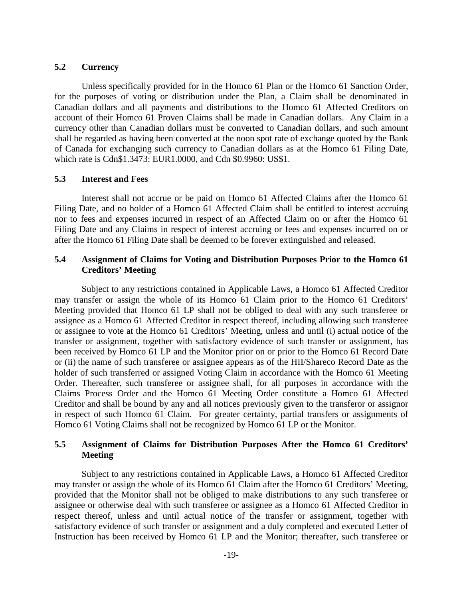#### <span id="page-21-0"></span>**5.2 Currency**

Unless specifically provided for in the Homco 61 Plan or the Homco 61 Sanction Order, for the purposes of voting or distribution under the Plan, a Claim shall be denominated in Canadian dollars and all payments and distributions to the Homco 61 Affected Creditors on account of their Homco 61 Proven Claims shall be made in Canadian dollars. Any Claim in a currency other than Canadian dollars must be converted to Canadian dollars, and such amount shall be regarded as having been converted at the noon spot rate of exchange quoted by the Bank of Canada for exchanging such currency to Canadian dollars as at the Homco 61 Filing Date, which rate is Cdn\$1.3473: EUR1.0000, and Cdn \$0.9960: US\$1.

### <span id="page-21-1"></span>**5.3 Interest and Fees**

Interest shall not accrue or be paid on Homco 61 Affected Claims after the Homco 61 Filing Date, and no holder of a Homco 61 Affected Claim shall be entitled to interest accruing nor to fees and expenses incurred in respect of an Affected Claim on or after the Homco 61 Filing Date and any Claims in respect of interest accruing or fees and expenses incurred on or after the Homco 61 Filing Date shall be deemed to be forever extinguished and released.

### <span id="page-21-2"></span>**5.4 Assignment of Claims for Voting and Distribution Purposes Prior to the Homco 61 Creditors' Meeting**

Subject to any restrictions contained in Applicable Laws, a Homco 61 Affected Creditor may transfer or assign the whole of its Homco 61 Claim prior to the Homco 61 Creditors' Meeting provided that Homco 61 LP shall not be obliged to deal with any such transferee or assignee as a Homco 61 Affected Creditor in respect thereof, including allowing such transferee or assignee to vote at the Homco 61 Creditors' Meeting, unless and until (i) actual notice of the transfer or assignment, together with satisfactory evidence of such transfer or assignment, has been received by Homco 61 LP and the Monitor prior on or prior to the Homco 61 Record Date or (ii) the name of such transferee or assignee appears as of the HII/Shareco Record Date as the holder of such transferred or assigned Voting Claim in accordance with the Homco 61 Meeting Order. Thereafter, such transferee or assignee shall, for all purposes in accordance with the Claims Process Order and the Homco 61 Meeting Order constitute a Homco 61 Affected Creditor and shall be bound by any and all notices previously given to the transferor or assignor in respect of such Homco 61 Claim. For greater certainty, partial transfers or assignments of Homco 61 Voting Claims shall not be recognized by Homco 61 LP or the Monitor.

### <span id="page-21-3"></span>**5.5 Assignment of Claims for Distribution Purposes After the Homco 61 Creditors' Meeting**

Subject to any restrictions contained in Applicable Laws, a Homco 61 Affected Creditor may transfer or assign the whole of its Homco 61 Claim after the Homco 61 Creditors' Meeting, provided that the Monitor shall not be obliged to make distributions to any such transferee or assignee or otherwise deal with such transferee or assignee as a Homco 61 Affected Creditor in respect thereof, unless and until actual notice of the transfer or assignment, together with satisfactory evidence of such transfer or assignment and a duly completed and executed Letter of Instruction has been received by Homco 61 LP and the Monitor; thereafter, such transferee or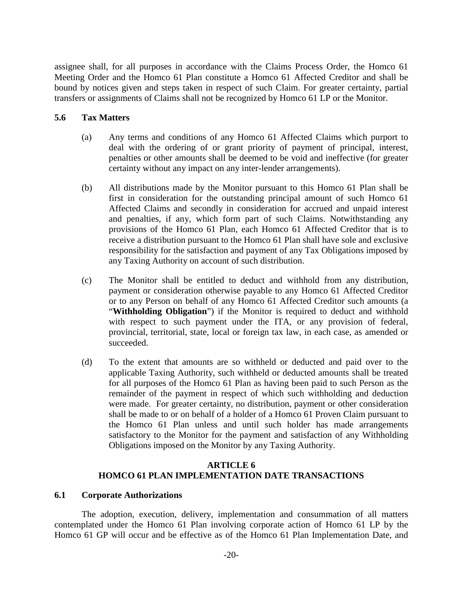assignee shall, for all purposes in accordance with the Claims Process Order, the Homco 61 Meeting Order and the Homco 61 Plan constitute a Homco 61 Affected Creditor and shall be bound by notices given and steps taken in respect of such Claim. For greater certainty, partial transfers or assignments of Claims shall not be recognized by Homco 61 LP or the Monitor.

#### <span id="page-22-0"></span>**5.6 Tax Matters**

- (a) Any terms and conditions of any Homco 61 Affected Claims which purport to deal with the ordering of or grant priority of payment of principal, interest, penalties or other amounts shall be deemed to be void and ineffective (for greater certainty without any impact on any inter-lender arrangements).
- (b) All distributions made by the Monitor pursuant to this Homco 61 Plan shall be first in consideration for the outstanding principal amount of such Homco 61 Affected Claims and secondly in consideration for accrued and unpaid interest and penalties, if any, which form part of such Claims. Notwithstanding any provisions of the Homco 61 Plan, each Homco 61 Affected Creditor that is to receive a distribution pursuant to the Homco 61 Plan shall have sole and exclusive responsibility for the satisfaction and payment of any Tax Obligations imposed by any Taxing Authority on account of such distribution.
- (c) The Monitor shall be entitled to deduct and withhold from any distribution, payment or consideration otherwise payable to any Homco 61 Affected Creditor or to any Person on behalf of any Homco 61 Affected Creditor such amounts (a "**Withholding Obligation**") if the Monitor is required to deduct and withhold with respect to such payment under the ITA, or any provision of federal, provincial, territorial, state, local or foreign tax law, in each case, as amended or succeeded.
- (d) To the extent that amounts are so withheld or deducted and paid over to the applicable Taxing Authority, such withheld or deducted amounts shall be treated for all purposes of the Homco 61 Plan as having been paid to such Person as the remainder of the payment in respect of which such withholding and deduction were made. For greater certainty, no distribution, payment or other consideration shall be made to or on behalf of a holder of a Homco 61 Proven Claim pursuant to the Homco 61 Plan unless and until such holder has made arrangements satisfactory to the Monitor for the payment and satisfaction of any Withholding Obligations imposed on the Monitor by any Taxing Authority.

### **ARTICLE 6 HOMCO 61 PLAN IMPLEMENTATION DATE TRANSACTIONS**

#### <span id="page-22-2"></span><span id="page-22-1"></span>**6.1 Corporate Authorizations**

The adoption, execution, delivery, implementation and consummation of all matters contemplated under the Homco 61 Plan involving corporate action of Homco 61 LP by the Homco 61 GP will occur and be effective as of the Homco 61 Plan Implementation Date, and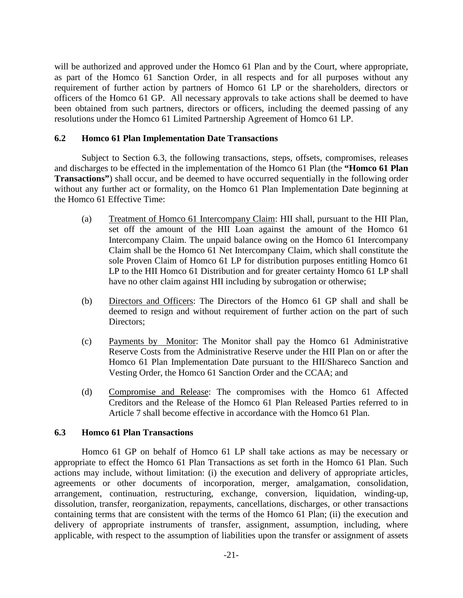will be authorized and approved under the Homco 61 Plan and by the Court, where appropriate, as part of the Homco 61 Sanction Order, in all respects and for all purposes without any requirement of further action by partners of Homco 61 LP or the shareholders, directors or officers of the Homco 61 GP. All necessary approvals to take actions shall be deemed to have been obtained from such partners, directors or officers, including the deemed passing of any resolutions under the Homco 61 Limited Partnership Agreement of Homco 61 LP.

## <span id="page-23-0"></span>**6.2 Homco 61 Plan Implementation Date Transactions**

Subject to Section 6.3, the following transactions, steps, offsets, compromises, releases and discharges to be effected in the implementation of the Homco 61 Plan (the **"Homco 61 Plan Transactions"**) shall occur, and be deemed to have occurred sequentially in the following order without any further act or formality, on the Homco 61 Plan Implementation Date beginning at the Homco 61 Effective Time:

- (a) Treatment of Homco 61 Intercompany Claim: HII shall, pursuant to the HII Plan, set off the amount of the HII Loan against the amount of the Homco 61 Intercompany Claim. The unpaid balance owing on the Homco 61 Intercompany Claim shall be the Homco 61 Net Intercompany Claim, which shall constitute the sole Proven Claim of Homco 61 LP for distribution purposes entitling Homco 61 LP to the HII Homco 61 Distribution and for greater certainty Homco 61 LP shall have no other claim against HII including by subrogation or otherwise;
- (b) Directors and Officers: The Directors of the Homco 61 GP shall and shall be deemed to resign and without requirement of further action on the part of such Directors;
- (c) Payments by Monitor: The Monitor shall pay the Homco 61 Administrative Reserve Costs from the Administrative Reserve under the HII Plan on or after the Homco 61 Plan Implementation Date pursuant to the HII/Shareco Sanction and Vesting Order, the Homco 61 Sanction Order and the CCAA; and
- (d) Compromise and Release: The compromises with the Homco 61 Affected Creditors and the Release of the Homco 61 Plan Released Parties referred to in Article 7 shall become effective in accordance with the Homco 61 Plan.

### <span id="page-23-1"></span>**6.3 Homco 61 Plan Transactions**

Homco 61 GP on behalf of Homco 61 LP shall take actions as may be necessary or appropriate to effect the Homco 61 Plan Transactions as set forth in the Homco 61 Plan. Such actions may include, without limitation: (i) the execution and delivery of appropriate articles, agreements or other documents of incorporation, merger, amalgamation, consolidation, arrangement, continuation, restructuring, exchange, conversion, liquidation, winding-up, dissolution, transfer, reorganization, repayments, cancellations, discharges, or other transactions containing terms that are consistent with the terms of the Homco 61 Plan; (ii) the execution and delivery of appropriate instruments of transfer, assignment, assumption, including, where applicable, with respect to the assumption of liabilities upon the transfer or assignment of assets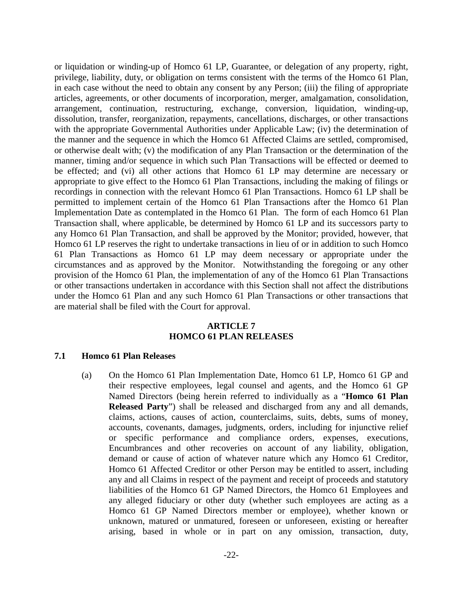or liquidation or winding-up of Homco 61 LP, Guarantee, or delegation of any property, right, privilege, liability, duty, or obligation on terms consistent with the terms of the Homco 61 Plan, in each case without the need to obtain any consent by any Person; (iii) the filing of appropriate articles, agreements, or other documents of incorporation, merger, amalgamation, consolidation, arrangement, continuation, restructuring, exchange, conversion, liquidation, winding-up, dissolution, transfer, reorganization, repayments, cancellations, discharges, or other transactions with the appropriate Governmental Authorities under Applicable Law; (iv) the determination of the manner and the sequence in which the Homco 61 Affected Claims are settled, compromised, or otherwise dealt with; (v) the modification of any Plan Transaction or the determination of the manner, timing and/or sequence in which such Plan Transactions will be effected or deemed to be effected; and (vi) all other actions that Homco 61 LP may determine are necessary or appropriate to give effect to the Homco 61 Plan Transactions, including the making of filings or recordings in connection with the relevant Homco 61 Plan Transactions. Homco 61 LP shall be permitted to implement certain of the Homco 61 Plan Transactions after the Homco 61 Plan Implementation Date as contemplated in the Homco 61 Plan. The form of each Homco 61 Plan Transaction shall, where applicable, be determined by Homco 61 LP and its successors party to any Homco 61 Plan Transaction, and shall be approved by the Monitor; provided, however, that Homco 61 LP reserves the right to undertake transactions in lieu of or in addition to such Homco 61 Plan Transactions as Homco 61 LP may deem necessary or appropriate under the circumstances and as approved by the Monitor. Notwithstanding the foregoing or any other provision of the Homco 61 Plan, the implementation of any of the Homco 61 Plan Transactions or other transactions undertaken in accordance with this Section shall not affect the distributions under the Homco 61 Plan and any such Homco 61 Plan Transactions or other transactions that are material shall be filed with the Court for approval.

## **ARTICLE 7 HOMCO 61 PLAN RELEASES**

#### <span id="page-24-1"></span><span id="page-24-0"></span>**7.1 Homco 61 Plan Releases**

(a) On the Homco 61 Plan Implementation Date, Homco 61 LP, Homco 61 GP and their respective employees, legal counsel and agents, and the Homco 61 GP Named Directors (being herein referred to individually as a "**Homco 61 Plan Released Party**") shall be released and discharged from any and all demands, claims, actions, causes of action, counterclaims, suits, debts, sums of money, accounts, covenants, damages, judgments, orders, including for injunctive relief or specific performance and compliance orders, expenses, executions, Encumbrances and other recoveries on account of any liability, obligation, demand or cause of action of whatever nature which any Homco 61 Creditor, Homco 61 Affected Creditor or other Person may be entitled to assert, including any and all Claims in respect of the payment and receipt of proceeds and statutory liabilities of the Homco 61 GP Named Directors, the Homco 61 Employees and any alleged fiduciary or other duty (whether such employees are acting as a Homco 61 GP Named Directors member or employee), whether known or unknown, matured or unmatured, foreseen or unforeseen, existing or hereafter arising, based in whole or in part on any omission, transaction, duty,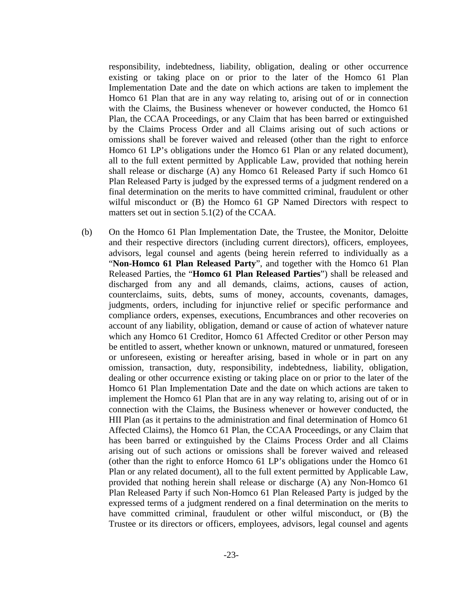responsibility, indebtedness, liability, obligation, dealing or other occurrence existing or taking place on or prior to the later of the Homco 61 Plan Implementation Date and the date on which actions are taken to implement the Homco 61 Plan that are in any way relating to, arising out of or in connection with the Claims, the Business whenever or however conducted, the Homco 61 Plan, the CCAA Proceedings, or any Claim that has been barred or extinguished by the Claims Process Order and all Claims arising out of such actions or omissions shall be forever waived and released (other than the right to enforce Homco 61 LP's obligations under the Homco 61 Plan or any related document), all to the full extent permitted by Applicable Law, provided that nothing herein shall release or discharge (A) any Homco 61 Released Party if such Homco 61 Plan Released Party is judged by the expressed terms of a judgment rendered on a final determination on the merits to have committed criminal, fraudulent or other wilful misconduct or (B) the Homco 61 GP Named Directors with respect to matters set out in section 5.1(2) of the CCAA.

(b) On the Homco 61 Plan Implementation Date, the Trustee, the Monitor, Deloitte and their respective directors (including current directors), officers, employees, advisors, legal counsel and agents (being herein referred to individually as a "**Non-Homco 61 Plan Released Party**", and together with the Homco 61 Plan Released Parties, the "**Homco 61 Plan Released Parties**") shall be released and discharged from any and all demands, claims, actions, causes of action, counterclaims, suits, debts, sums of money, accounts, covenants, damages, judgments, orders, including for injunctive relief or specific performance and compliance orders, expenses, executions, Encumbrances and other recoveries on account of any liability, obligation, demand or cause of action of whatever nature which any Homco 61 Creditor, Homco 61 Affected Creditor or other Person may be entitled to assert, whether known or unknown, matured or unmatured, foreseen or unforeseen, existing or hereafter arising, based in whole or in part on any omission, transaction, duty, responsibility, indebtedness, liability, obligation, dealing or other occurrence existing or taking place on or prior to the later of the Homco 61 Plan Implementation Date and the date on which actions are taken to implement the Homco 61 Plan that are in any way relating to, arising out of or in connection with the Claims, the Business whenever or however conducted, the HII Plan (as it pertains to the administration and final determination of Homco 61 Affected Claims), the Homco 61 Plan, the CCAA Proceedings, or any Claim that has been barred or extinguished by the Claims Process Order and all Claims arising out of such actions or omissions shall be forever waived and released (other than the right to enforce Homco 61 LP's obligations under the Homco 61 Plan or any related document), all to the full extent permitted by Applicable Law, provided that nothing herein shall release or discharge (A) any Non-Homco 61 Plan Released Party if such Non-Homco 61 Plan Released Party is judged by the expressed terms of a judgment rendered on a final determination on the merits to have committed criminal, fraudulent or other wilful misconduct, or (B) the Trustee or its directors or officers, employees, advisors, legal counsel and agents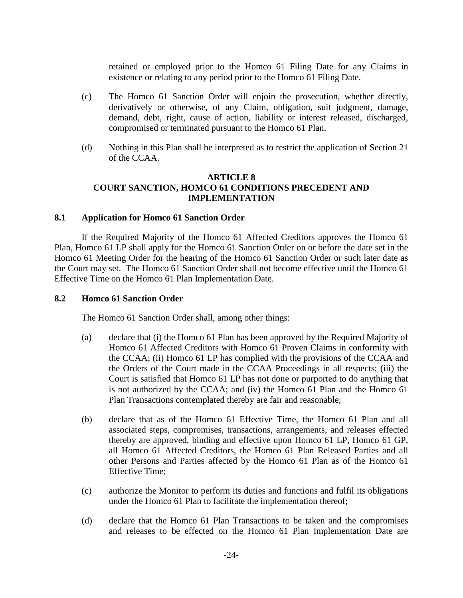retained or employed prior to the Homco 61 Filing Date for any Claims in existence or relating to any period prior to the Homco 61 Filing Date.

- (c) The Homco 61 Sanction Order will enjoin the prosecution, whether directly, derivatively or otherwise, of any Claim, obligation, suit judgment, damage, demand, debt, right, cause of action, liability or interest released, discharged, compromised or terminated pursuant to the Homco 61 Plan.
- (d) Nothing in this Plan shall be interpreted as to restrict the application of Section 21 of the CCAA.

# **ARTICLE 8 COURT SANCTION, HOMCO 61 CONDITIONS PRECEDENT AND IMPLEMENTATION**

### <span id="page-26-1"></span><span id="page-26-0"></span>**8.1 Application for Homco 61 Sanction Order**

If the Required Majority of the Homco 61 Affected Creditors approves the Homco 61 Plan, Homco 61 LP shall apply for the Homco 61 Sanction Order on or before the date set in the Homco 61 Meeting Order for the hearing of the Homco 61 Sanction Order or such later date as the Court may set. The Homco 61 Sanction Order shall not become effective until the Homco 61 Effective Time on the Homco 61 Plan Implementation Date.

## <span id="page-26-2"></span>**8.2 Homco 61 Sanction Order**

The Homco 61 Sanction Order shall, among other things:

- (a) declare that (i) the Homco 61 Plan has been approved by the Required Majority of Homco 61 Affected Creditors with Homco 61 Proven Claims in conformity with the CCAA; (ii) Homco 61 LP has complied with the provisions of the CCAA and the Orders of the Court made in the CCAA Proceedings in all respects; (iii) the Court is satisfied that Homco 61 LP has not done or purported to do anything that is not authorized by the CCAA; and (iv) the Homco 61 Plan and the Homco 61 Plan Transactions contemplated thereby are fair and reasonable;
- (b) declare that as of the Homco 61 Effective Time, the Homco 61 Plan and all associated steps, compromises, transactions, arrangements, and releases effected thereby are approved, binding and effective upon Homco 61 LP, Homco 61 GP, all Homco 61 Affected Creditors, the Homco 61 Plan Released Parties and all other Persons and Parties affected by the Homco 61 Plan as of the Homco 61 Effective Time;
- (c) authorize the Monitor to perform its duties and functions and fulfil its obligations under the Homco 61 Plan to facilitate the implementation thereof;
- (d) declare that the Homco 61 Plan Transactions to be taken and the compromises and releases to be effected on the Homco 61 Plan Implementation Date are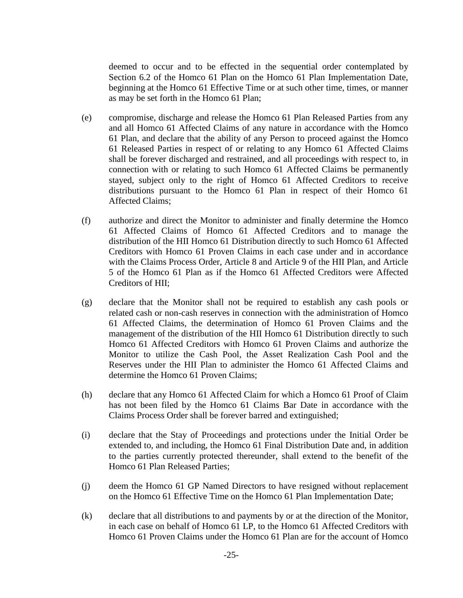deemed to occur and to be effected in the sequential order contemplated by Section 6.2 of the Homco 61 Plan on the Homco 61 Plan Implementation Date, beginning at the Homco 61 Effective Time or at such other time, times, or manner as may be set forth in the Homco 61 Plan;

- (e) compromise, discharge and release the Homco 61 Plan Released Parties from any and all Homco 61 Affected Claims of any nature in accordance with the Homco 61 Plan, and declare that the ability of any Person to proceed against the Homco 61 Released Parties in respect of or relating to any Homco 61 Affected Claims shall be forever discharged and restrained, and all proceedings with respect to, in connection with or relating to such Homco 61 Affected Claims be permanently stayed, subject only to the right of Homco 61 Affected Creditors to receive distributions pursuant to the Homco 61 Plan in respect of their Homco 61 Affected Claims;
- (f) authorize and direct the Monitor to administer and finally determine the Homco 61 Affected Claims of Homco 61 Affected Creditors and to manage the distribution of the HII Homco 61 Distribution directly to such Homco 61 Affected Creditors with Homco 61 Proven Claims in each case under and in accordance with the Claims Process Order, Article 8 and Article 9 of the HII Plan, and Article 5 of the Homco 61 Plan as if the Homco 61 Affected Creditors were Affected Creditors of HII;
- (g) declare that the Monitor shall not be required to establish any cash pools or related cash or non-cash reserves in connection with the administration of Homco 61 Affected Claims, the determination of Homco 61 Proven Claims and the management of the distribution of the HII Homco 61 Distribution directly to such Homco 61 Affected Creditors with Homco 61 Proven Claims and authorize the Monitor to utilize the Cash Pool, the Asset Realization Cash Pool and the Reserves under the HII Plan to administer the Homco 61 Affected Claims and determine the Homco 61 Proven Claims;
- (h) declare that any Homco 61 Affected Claim for which a Homco 61 Proof of Claim has not been filed by the Homco 61 Claims Bar Date in accordance with the Claims Process Order shall be forever barred and extinguished;
- (i) declare that the Stay of Proceedings and protections under the Initial Order be extended to, and including, the Homco 61 Final Distribution Date and, in addition to the parties currently protected thereunder, shall extend to the benefit of the Homco 61 Plan Released Parties;
- (j) deem the Homco 61 GP Named Directors to have resigned without replacement on the Homco 61 Effective Time on the Homco 61 Plan Implementation Date;
- (k) declare that all distributions to and payments by or at the direction of the Monitor, in each case on behalf of Homco 61 LP, to the Homco 61 Affected Creditors with Homco 61 Proven Claims under the Homco 61 Plan are for the account of Homco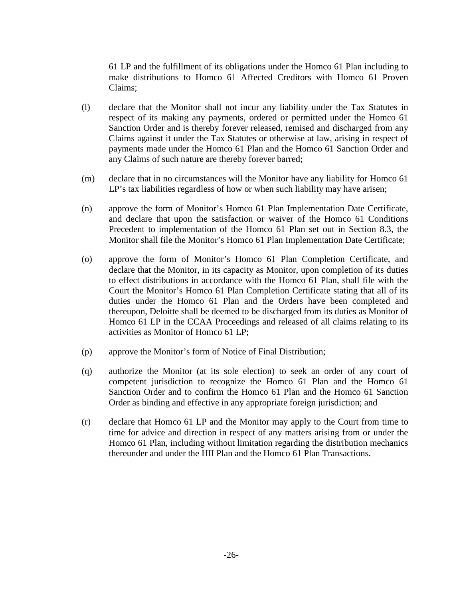61 LP and the fulfillment of its obligations under the Homco 61 Plan including to make distributions to Homco 61 Affected Creditors with Homco 61 Proven Claims;

- (l) declare that the Monitor shall not incur any liability under the Tax Statutes in respect of its making any payments, ordered or permitted under the Homco 61 Sanction Order and is thereby forever released, remised and discharged from any Claims against it under the Tax Statutes or otherwise at law, arising in respect of payments made under the Homco 61 Plan and the Homco 61 Sanction Order and any Claims of such nature are thereby forever barred;
- (m) declare that in no circumstances will the Monitor have any liability for Homco 61 LP's tax liabilities regardless of how or when such liability may have arisen;
- (n) approve the form of Monitor's Homco 61 Plan Implementation Date Certificate, and declare that upon the satisfaction or waiver of the Homco 61 Conditions Precedent to implementation of the Homco 61 Plan set out in Section 8.3, the Monitor shall file the Monitor's Homco 61 Plan Implementation Date Certificate;
- (o) approve the form of Monitor's Homco 61 Plan Completion Certificate, and declare that the Monitor, in its capacity as Monitor, upon completion of its duties to effect distributions in accordance with the Homco 61 Plan, shall file with the Court the Monitor's Homco 61 Plan Completion Certificate stating that all of its duties under the Homco 61 Plan and the Orders have been completed and thereupon, Deloitte shall be deemed to be discharged from its duties as Monitor of Homco 61 LP in the CCAA Proceedings and released of all claims relating to its activities as Monitor of Homco 61 LP;
- (p) approve the Monitor's form of Notice of Final Distribution;
- (q) authorize the Monitor (at its sole election) to seek an order of any court of competent jurisdiction to recognize the Homco 61 Plan and the Homco 61 Sanction Order and to confirm the Homco 61 Plan and the Homco 61 Sanction Order as binding and effective in any appropriate foreign jurisdiction; and
- (r) declare that Homco 61 LP and the Monitor may apply to the Court from time to time for advice and direction in respect of any matters arising from or under the Homco 61 Plan, including without limitation regarding the distribution mechanics thereunder and under the HII Plan and the Homco 61 Plan Transactions.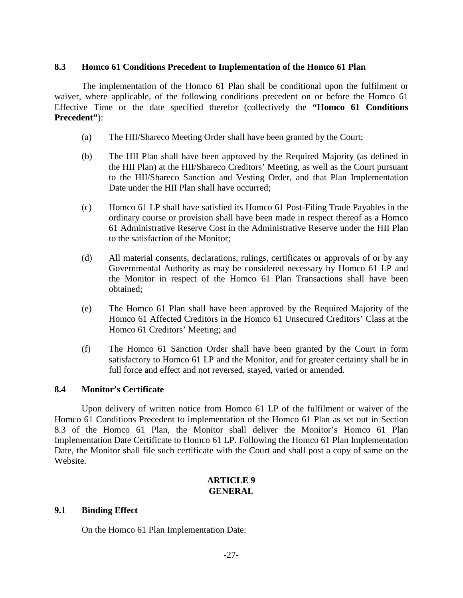#### <span id="page-29-0"></span>**8.3 Homco 61 Conditions Precedent to Implementation of the Homco 61 Plan**

The implementation of the Homco 61 Plan shall be conditional upon the fulfilment or waiver, where applicable, of the following conditions precedent on or before the Homco 61 Effective Time or the date specified therefor (collectively the **"Homco 61 Conditions Precedent"**):

- (a) The HII/Shareco Meeting Order shall have been granted by the Court;
- (b) The HII Plan shall have been approved by the Required Majority (as defined in the HII Plan) at the HII/Shareco Creditors' Meeting, as well as the Court pursuant to the HII/Shareco Sanction and Vesting Order, and that Plan Implementation Date under the HII Plan shall have occurred;
- (c) Homco 61 LP shall have satisfied its Homco 61 Post-Filing Trade Payables in the ordinary course or provision shall have been made in respect thereof as a Homco 61 Administrative Reserve Cost in the Administrative Reserve under the HII Plan to the satisfaction of the Monitor;
- (d) All material consents, declarations, rulings, certificates or approvals of or by any Governmental Authority as may be considered necessary by Homco 61 LP and the Monitor in respect of the Homco 61 Plan Transactions shall have been obtained;
- (e) The Homco 61 Plan shall have been approved by the Required Majority of the Homco 61 Affected Creditors in the Homco 61 Unsecured Creditors' Class at the Homco 61 Creditors' Meeting; and
- (f) The Homco 61 Sanction Order shall have been granted by the Court in form satisfactory to Homco 61 LP and the Monitor, and for greater certainty shall be in full force and effect and not reversed, stayed, varied or amended.

### <span id="page-29-1"></span>**8.4 Monitor's Certificate**

Upon delivery of written notice from Homco 61 LP of the fulfilment or waiver of the Homco 61 Conditions Precedent to implementation of the Homco 61 Plan as set out in Section 8.3 of the Homco 61 Plan, the Monitor shall deliver the Monitor's Homco 61 Plan Implementation Date Certificate to Homco 61 LP. Following the Homco 61 Plan Implementation Date, the Monitor shall file such certificate with the Court and shall post a copy of same on the Website.

### **ARTICLE 9 GENERAL**

### <span id="page-29-3"></span><span id="page-29-2"></span>**9.1 Binding Effect**

On the Homco 61 Plan Implementation Date: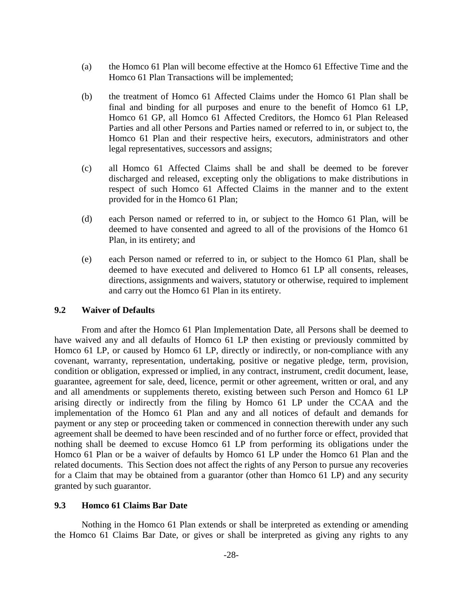- (a) the Homco 61 Plan will become effective at the Homco 61 Effective Time and the Homco 61 Plan Transactions will be implemented;
- (b) the treatment of Homco 61 Affected Claims under the Homco 61 Plan shall be final and binding for all purposes and enure to the benefit of Homco 61 LP, Homco 61 GP, all Homco 61 Affected Creditors, the Homco 61 Plan Released Parties and all other Persons and Parties named or referred to in, or subject to, the Homco 61 Plan and their respective heirs, executors, administrators and other legal representatives, successors and assigns;
- (c) all Homco 61 Affected Claims shall be and shall be deemed to be forever discharged and released, excepting only the obligations to make distributions in respect of such Homco 61 Affected Claims in the manner and to the extent provided for in the Homco 61 Plan;
- (d) each Person named or referred to in, or subject to the Homco 61 Plan, will be deemed to have consented and agreed to all of the provisions of the Homco 61 Plan, in its entirety; and
- (e) each Person named or referred to in, or subject to the Homco 61 Plan, shall be deemed to have executed and delivered to Homco 61 LP all consents, releases, directions, assignments and waivers, statutory or otherwise, required to implement and carry out the Homco 61 Plan in its entirety.

### <span id="page-30-0"></span>**9.2 Waiver of Defaults**

From and after the Homco 61 Plan Implementation Date, all Persons shall be deemed to have waived any and all defaults of Homco 61 LP then existing or previously committed by Homco 61 LP, or caused by Homco 61 LP, directly or indirectly, or non-compliance with any covenant, warranty, representation, undertaking, positive or negative pledge, term, provision, condition or obligation, expressed or implied, in any contract, instrument, credit document, lease, guarantee, agreement for sale, deed, licence, permit or other agreement, written or oral, and any and all amendments or supplements thereto, existing between such Person and Homco 61 LP arising directly or indirectly from the filing by Homco 61 LP under the CCAA and the implementation of the Homco 61 Plan and any and all notices of default and demands for payment or any step or proceeding taken or commenced in connection therewith under any such agreement shall be deemed to have been rescinded and of no further force or effect, provided that nothing shall be deemed to excuse Homco 61 LP from performing its obligations under the Homco 61 Plan or be a waiver of defaults by Homco 61 LP under the Homco 61 Plan and the related documents. This Section does not affect the rights of any Person to pursue any recoveries for a Claim that may be obtained from a guarantor (other than Homco 61 LP) and any security granted by such guarantor.

### <span id="page-30-1"></span>**9.3 Homco 61 Claims Bar Date**

Nothing in the Homco 61 Plan extends or shall be interpreted as extending or amending the Homco 61 Claims Bar Date, or gives or shall be interpreted as giving any rights to any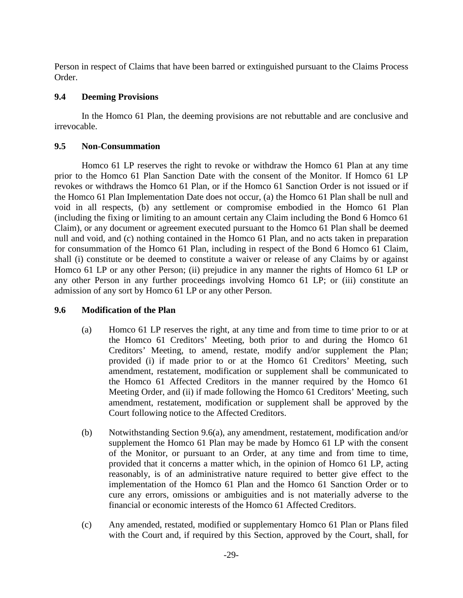Person in respect of Claims that have been barred or extinguished pursuant to the Claims Process Order.

## <span id="page-31-0"></span>**9.4 Deeming Provisions**

In the Homco 61 Plan, the deeming provisions are not rebuttable and are conclusive and irrevocable.

## <span id="page-31-1"></span>**9.5 Non-Consummation**

Homco 61 LP reserves the right to revoke or withdraw the Homco 61 Plan at any time prior to the Homco 61 Plan Sanction Date with the consent of the Monitor. If Homco 61 LP revokes or withdraws the Homco 61 Plan, or if the Homco 61 Sanction Order is not issued or if the Homco 61 Plan Implementation Date does not occur, (a) the Homco 61 Plan shall be null and void in all respects, (b) any settlement or compromise embodied in the Homco 61 Plan (including the fixing or limiting to an amount certain any Claim including the Bond 6 Homco 61 Claim), or any document or agreement executed pursuant to the Homco 61 Plan shall be deemed null and void, and (c) nothing contained in the Homco 61 Plan, and no acts taken in preparation for consummation of the Homco 61 Plan, including in respect of the Bond 6 Homco 61 Claim, shall (i) constitute or be deemed to constitute a waiver or release of any Claims by or against Homco 61 LP or any other Person; (ii) prejudice in any manner the rights of Homco 61 LP or any other Person in any further proceedings involving Homco 61 LP; or (iii) constitute an admission of any sort by Homco 61 LP or any other Person.

# <span id="page-31-2"></span>**9.6 Modification of the Plan**

- (a) Homco 61 LP reserves the right, at any time and from time to time prior to or at the Homco 61 Creditors' Meeting, both prior to and during the Homco 61 Creditors' Meeting, to amend, restate, modify and/or supplement the Plan; provided (i) if made prior to or at the Homco 61 Creditors' Meeting, such amendment, restatement, modification or supplement shall be communicated to the Homco 61 Affected Creditors in the manner required by the Homco 61 Meeting Order, and (ii) if made following the Homco 61 Creditors' Meeting, such amendment, restatement, modification or supplement shall be approved by the Court following notice to the Affected Creditors.
- (b) Notwithstanding Section 9.6(a), any amendment, restatement, modification and/or supplement the Homco 61 Plan may be made by Homco 61 LP with the consent of the Monitor, or pursuant to an Order, at any time and from time to time, provided that it concerns a matter which, in the opinion of Homco 61 LP, acting reasonably, is of an administrative nature required to better give effect to the implementation of the Homco 61 Plan and the Homco 61 Sanction Order or to cure any errors, omissions or ambiguities and is not materially adverse to the financial or economic interests of the Homco 61 Affected Creditors.
- (c) Any amended, restated, modified or supplementary Homco 61 Plan or Plans filed with the Court and, if required by this Section, approved by the Court, shall, for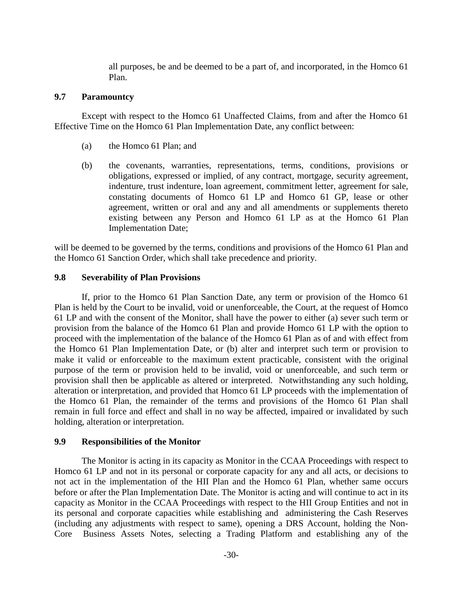all purposes, be and be deemed to be a part of, and incorporated, in the Homco 61 Plan.

#### <span id="page-32-0"></span>**9.7 Paramountcy**

Except with respect to the Homco 61 Unaffected Claims, from and after the Homco 61 Effective Time on the Homco 61 Plan Implementation Date, any conflict between:

- (a) the Homco 61 Plan; and
- (b) the covenants, warranties, representations, terms, conditions, provisions or obligations, expressed or implied, of any contract, mortgage, security agreement, indenture, trust indenture, loan agreement, commitment letter, agreement for sale, constating documents of Homco 61 LP and Homco 61 GP, lease or other agreement, written or oral and any and all amendments or supplements thereto existing between any Person and Homco 61 LP as at the Homco 61 Plan Implementation Date;

will be deemed to be governed by the terms, conditions and provisions of the Homco 61 Plan and the Homco 61 Sanction Order, which shall take precedence and priority.

### <span id="page-32-1"></span>**9.8 Severability of Plan Provisions**

If, prior to the Homco 61 Plan Sanction Date, any term or provision of the Homco 61 Plan is held by the Court to be invalid, void or unenforceable, the Court, at the request of Homco 61 LP and with the consent of the Monitor, shall have the power to either (a) sever such term or provision from the balance of the Homco 61 Plan and provide Homco 61 LP with the option to proceed with the implementation of the balance of the Homco 61 Plan as of and with effect from the Homco 61 Plan Implementation Date, or (b) alter and interpret such term or provision to make it valid or enforceable to the maximum extent practicable, consistent with the original purpose of the term or provision held to be invalid, void or unenforceable, and such term or provision shall then be applicable as altered or interpreted. Notwithstanding any such holding, alteration or interpretation, and provided that Homco 61 LP proceeds with the implementation of the Homco 61 Plan, the remainder of the terms and provisions of the Homco 61 Plan shall remain in full force and effect and shall in no way be affected, impaired or invalidated by such holding, alteration or interpretation.

### <span id="page-32-2"></span>**9.9 Responsibilities of the Monitor**

The Monitor is acting in its capacity as Monitor in the CCAA Proceedings with respect to Homco 61 LP and not in its personal or corporate capacity for any and all acts, or decisions to not act in the implementation of the HII Plan and the Homco 61 Plan, whether same occurs before or after the Plan Implementation Date. The Monitor is acting and will continue to act in its capacity as Monitor in the CCAA Proceedings with respect to the HII Group Entities and not in its personal and corporate capacities while establishing and administering the Cash Reserves (including any adjustments with respect to same), opening a DRS Account, holding the Non-Core Business Assets Notes, selecting a Trading Platform and establishing any of the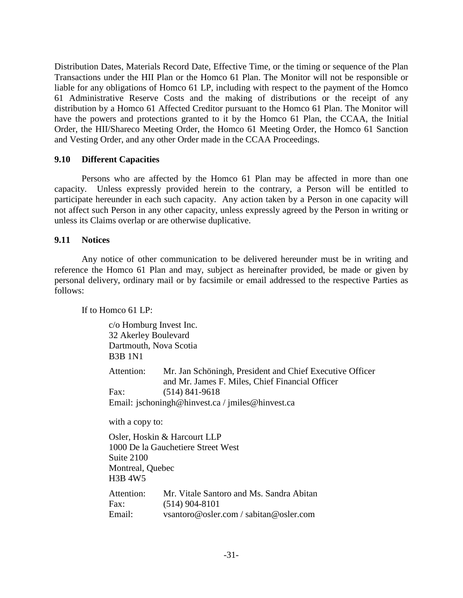Distribution Dates, Materials Record Date, Effective Time, or the timing or sequence of the Plan Transactions under the HII Plan or the Homco 61 Plan. The Monitor will not be responsible or liable for any obligations of Homco 61 LP, including with respect to the payment of the Homco 61 Administrative Reserve Costs and the making of distributions or the receipt of any distribution by a Homco 61 Affected Creditor pursuant to the Homco 61 Plan. The Monitor will have the powers and protections granted to it by the Homco 61 Plan, the CCAA, the Initial Order, the HII/Shareco Meeting Order, the Homco 61 Meeting Order, the Homco 61 Sanction and Vesting Order, and any other Order made in the CCAA Proceedings.

### <span id="page-33-0"></span>**9.10 Different Capacities**

Persons who are affected by the Homco 61 Plan may be affected in more than one capacity. Unless expressly provided herein to the contrary, a Person will be entitled to participate hereunder in each such capacity. Any action taken by a Person in one capacity will not affect such Person in any other capacity, unless expressly agreed by the Person in writing or unless its Claims overlap or are otherwise duplicative.

### <span id="page-33-1"></span>**9.11 Notices**

Any notice of other communication to be delivered hereunder must be in writing and reference the Homco 61 Plan and may, subject as hereinafter provided, be made or given by personal delivery, ordinary mail or by facsimile or email addressed to the respective Parties as follows:

If to Homco 61 LP:

c/o Homburg Invest Inc. 32 Akerley Boulevard Dartmouth, Nova Scotia B3B 1N1 Attention: Mr. Jan Schöningh, President and Chief Executive Officer and Mr. James F. Miles, Chief Financial Officer Fax: (514) 841-9618 Email: jschoningh@hinvest.ca / jmiles@hinvest.ca with a copy to: Osler, Hoskin & Harcourt LLP 1000 De la Gauchetiere Street West Suite 2100 Montreal, Quebec H3B 4W5 Attention: Mr. Vitale Santoro and Ms. Sandra Abitan Fax: (514) 904-8101 Email: vsantoro@osler.com / sabitan@osler.com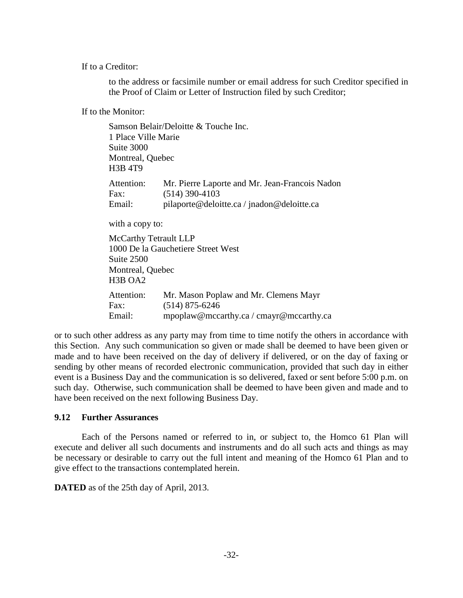If to a Creditor:

to the address or facsimile number or email address for such Creditor specified in the Proof of Claim or Letter of Instruction filed by such Creditor;

If to the Monitor:

|                                  | Samson Belair/Deloitte & Touche Inc.           |
|----------------------------------|------------------------------------------------|
| 1 Place Ville Marie              |                                                |
| Suite 3000                       |                                                |
| Montreal, Quebec                 |                                                |
| <b>H3B 4T9</b>                   |                                                |
| Attention:                       | Mr. Pierre Laporte and Mr. Jean-Francois Nadon |
| Fax:                             | $(514)$ 390-4103                               |
| Email:                           | pilaporte@deloitte.ca/jnadon@deloitte.ca       |
| with a copy to:                  |                                                |
| McCarthy Tetrault LLP            |                                                |
|                                  | 1000 De la Gauchetiere Street West             |
| Suite 2500                       |                                                |
| Montreal, Quebec                 |                                                |
| H <sub>3</sub> B OA <sub>2</sub> |                                                |
| Attention:                       | Mr. Mason Poplaw and Mr. Clemens Mayr          |
| Fax:                             | $(514)$ 875-6246                               |
| Email:                           | mpoplaw@mccarthy.ca / cmayr@mccarthy.ca        |

or to such other address as any party may from time to time notify the others in accordance with this Section. Any such communication so given or made shall be deemed to have been given or made and to have been received on the day of delivery if delivered, or on the day of faxing or sending by other means of recorded electronic communication, provided that such day in either event is a Business Day and the communication is so delivered, faxed or sent before 5:00 p.m. on such day. Otherwise, such communication shall be deemed to have been given and made and to have been received on the next following Business Day.

### <span id="page-34-0"></span>**9.12 Further Assurances**

Each of the Persons named or referred to in, or subject to, the Homco 61 Plan will execute and deliver all such documents and instruments and do all such acts and things as may be necessary or desirable to carry out the full intent and meaning of the Homco 61 Plan and to give effect to the transactions contemplated herein.

**DATED** as of the 25th day of April, 2013.